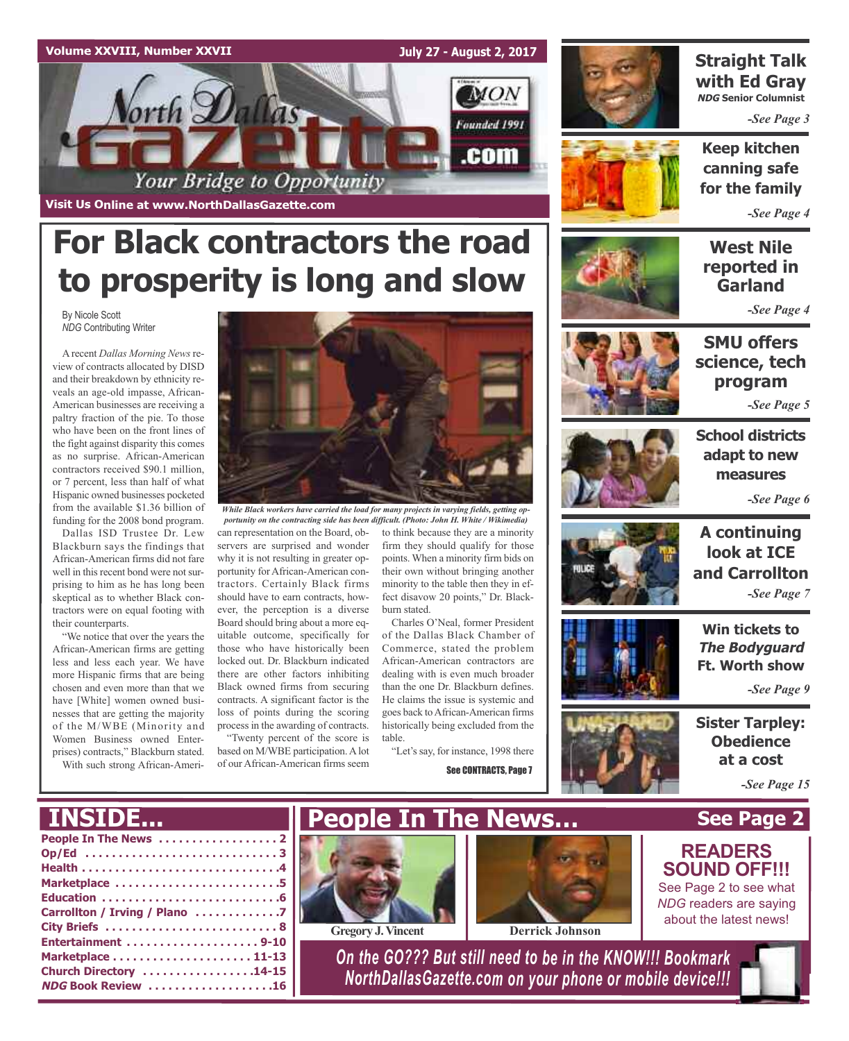### **Volume XXVIII, Number XXVII**

**Visit Us Online at www.NorthDallasGazette.com**

By Nicole Scott *NDG* Contributing Writer

their counterparts.

Hispanic owned businesses pocketed from the available \$1.36 billion of funding for the 2008 bond program. Dallas ISD Trustee Dr. Lew Blackburn says the findings that African-American firms did not fare well in this recent bond were not surprising to him as he has long been skeptical as to whether Black contractors were on equal footing with

"We notice that over the years the African-American firms are getting less and less each year. We have more Hispanic firms that are being chosen and even more than that we have [White] women owned businesses that are getting the majority of the M/WBE (Minority and Women Business owned Enterprises) contracts," Blackburn stated. With such strong African-Ameri**July 27 - August 2, 2017**



**For Black contractors the road**

### **Straight Talk with Ed Gray NDG Senior Columnist**

*-See Page 3*

**Keep kitchen canning safe for the family**

*-See Page 4*

### **West Nile reported in Garland**

*-See Page 4*

**SMU offers science, tech program**

*-See Page 5*



**School districts adapt to new measures**

*-See Page 6*







**Win tickets to The Bodyguard Ft. Worth show**

*-See Page 9*

**Sister Tarpley: Obedience at a cost**

**See Page 2**

**READERS SOUND OFF!!!** See Page 2 to see what *NDG* readers are saying about the latest news!

*-See Page 15*



*While Black workers have carried the load for many projects in varying fields, getting opportunity on the contracting side has been difficult. (Photo: John H. White / Wikimedia)*

can representation on the Board, observers are surprised and wonder why it is not resulting in greater opportunity forAfrican-American contractors. Certainly Black firms should have to earn contracts, however, the perception is a diverse Board should bring about a more equitable outcome, specifically for those who have historically been locked out. Dr. Blackburn indicated there are other factors inhibiting Black owned firms from securing contracts. A significant factor is the loss of points during the scoring process in the awarding of contracts.

"Twenty percent of the score is based on M/WBE participation.Alot of ourAfrican-American firms seem

to think because they are a minority firm they should qualify for those points. When a minority firm bids on their own without bringing another minority to the table then they in effect disavow 20 points," Dr. Blackburn stated.

Charles O'Neal, former President of the Dallas Black Chamber of Commerce, stated the problem African-American contractors are dealing with is even much broader than the one Dr. Blackburn defines. He claims the issue is systemic and goes back toAfrican-American firms historically being excluded from the table.

"Let's say, for instance, 1998 there





**INSIDE...**

| Op/Ed 3                       |
|-------------------------------|
|                               |
| Marketplace 5                 |
|                               |
| Carrollton / Irving / Plano 7 |
|                               |
|                               |
|                               |
| Church Directory 14-15        |
| <b>NDG Book Review 16</b>     |
|                               |





**Gregory J.Vincent Derrick Johnson**

*On the GO??? But still need to be in the KNOW!!! Bookmark NorthDallasGazette.com on your phone or mobile device!!!*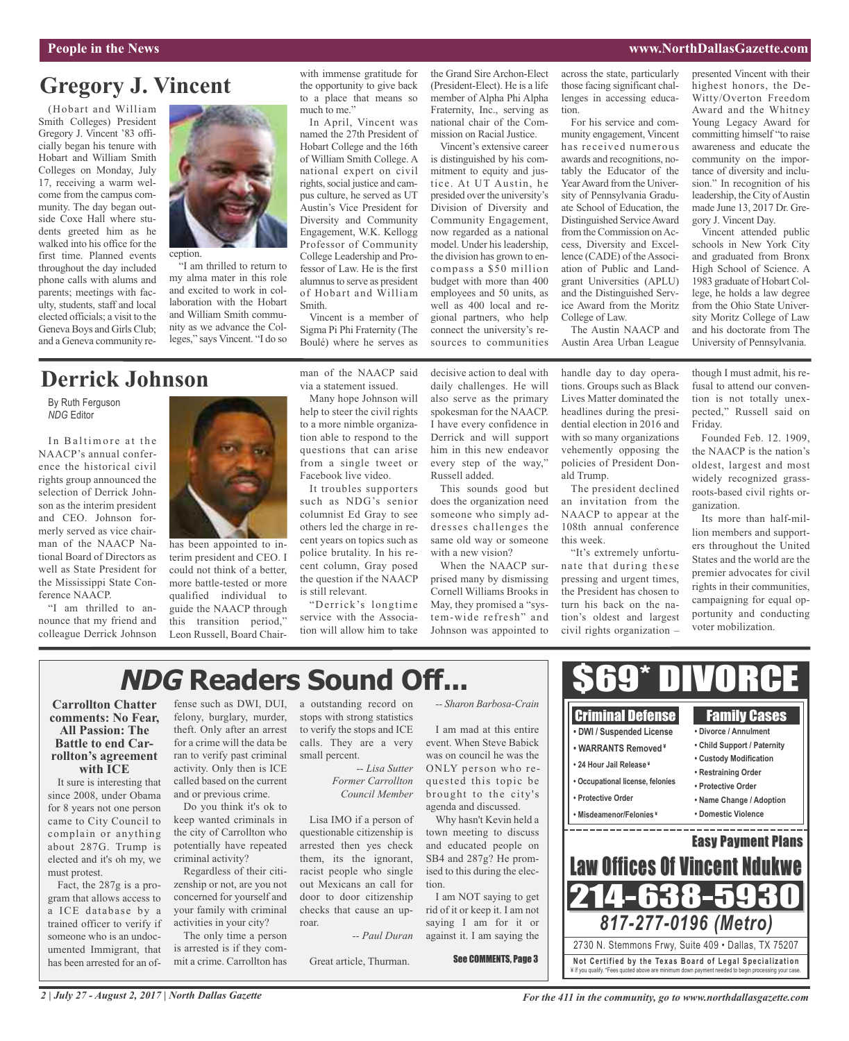### **People in the News www.NorthDallasGazette.com**

### **Gregory J. Vincent**

(Hobart and William Smith Colleges) President Gregory J. Vincent '83 officially began his tenure with Hobart and William Smith Colleges on Monday, July 17, receiving a warm welcome from the campus community. The day began outside Coxe Hall where students greeted him as he walked into his office for the first time. Planned events throughout the day included phone calls with alums and parents; meetings with faculty, students, staff and local elected officials; a visit to the Geneva Boys and Girls Club; and a Geneva community re-



"I am thrilled to return to my alma mater in this role and excited to work in collaboration with the Hobart and William Smith community as we advance the Colleges," says Vincent. "I do so

### **Derrick Johnson**

By Ruth Ferguson *NDG* Editor

In Baltimore at the NAACP's annual conference the historical civil rights group announced the selection of Derrick Johnson as the interim president and CEO. Johnson formerly served as vice chairman of the NAACP National Board of Directors as well as State President for the Mississippi State Conference NAACP.

"I am thrilled to announce that my friend and colleague Derrick Johnson



has been appointed to interim president and CEO. I could not think of a better, more battle-tested or more qualified individual to guide the NAACP through this transition period," Leon Russell, Board ChairSigma Pi Phi Fraternity (The Boulé) where he serves as

Vincent is a member of

with immense gratitude for the opportunity to give back to a place that means so

In April, Vincent was named the 27th President of Hobart College and the 16th of William Smith College. A national expert on civil rights, social justice and campus culture, he served as UT Austin's Vice President for Diversity and Community Engagement, W.K. Kellogg Professor of Community College Leadership and Professor of Law. He is the first alumnus to serve as president of Hobart and William

much to me."

Smith.

the Grand Sire Archon-Elect (President-Elect). He is a life member of Alpha Phi Alpha Fraternity, Inc., serving as national chair of the Commission on Racial Justice.

Vincent's extensive career is distinguished by his commitment to equity and justice. At UT Austin, he presided over the university's Division of Diversity and Community Engagement, now regarded as a national model. Under his leadership, the division has grown to encompass a \$50 million budget with more than 400 employees and 50 units, as well as 400 local and regional partners, who help connect the university's resources to communities

across the state, particularly those facing significant challenges in accessing education.

For his service and community engagement, Vincent has received numerous awards and recognitions, notably the Educator of the Year Award from the University of Pennsylvania Graduate School of Education, the Distinguished ServiceAward from the Commission on Access, Diversity and Excellence (CADE) of the Association of Public and Landgrant Universities (APLU) and the Distinguished Service Award from the Moritz College of Law.

The Austin NAACP and Austin Area Urban League

presented Vincent with their highest honors, the De-Witty/Overton Freedom Award and the Whitney Young Legacy Award for committing himself "to raise awareness and educate the community on the importance of diversity and inclusion." In recognition of his leadership, the City of Austin made June 13, 2017 Dr. Gregory J. Vincent Day.

Vincent attended public schools in New York City and graduated from Bronx High School of Science. A 1983 graduate of Hobart College, he holds a law degree from the Ohio State University Moritz College of Law and his doctorate from The University of Pennsylvania.

decisive action to deal with daily challenges. He will also serve as the primary spokesman for the NAACP. I have every confidence in handle day to day opera-

tions. Groups such as Black Lives Matter dominated the headlines during the presidential election in 2016 and with so many organizations vehemently opposing the policies of President Donald Trump.

The president declined an invitation from the NAACP to appear at the 108th annual conference this week.

"It's extremely unfortunate that during these pressing and urgent times, the President has chosen to turn his back on the nation's oldest and largest civil rights organization –

though I must admit, his refusal to attend our convention is not totally unexpected," Russell said on Friday. Founded Feb. 12. 1909,

the NAACP is the nation's oldest, largest and most widely recognized grassroots-based civil rights organization.

Its more than half-million members and supporters throughout the United States and the world are the premier advocates for civil rights in their communities, campaigning for equal opportunity and conducting voter mobilization.

## *-- Sharon Barbosa-Crain* **NDG Readers Sound Off...**

is still relevant.

### **Carrollton Chatter comments: No Fear, All Passion: The**  $\mathbf{r}$  **ollton's agreement with ICE**

It sure is interesting that since 2008, under Obama for 8 years not one person came to City Council to complain or anything about 287G. Trump is elected and it's oh my, we must protest.

Fact, the 287g is a program that allows access to a ICE database by a trained officer to verify if someone who is an undocumented Immigrant, that has been arrested for an of-

fense such as DWI, DUI, felony, burglary, murder, theft. Only after an arrest for a crime will the data be ran to verify past criminal activity. Only then is ICE called based on the current and or previous crime.

Do you think it's ok to keep wanted criminals in the city of Carrollton who potentially have repeated criminal activity?

Regardless of their citizenship or not, are you not concerned for yourself and your family with criminal activities in your city?

The only time a person is arrested is if they commit a crime. Carrollton has a outstanding record on stops with strong statistics to verify the stops and ICE calls. They are a very small percent.

### *-- Lisa Sutter Former Carrollton Council Member*

Lisa IMO if a person of questionable citizenship is arrested then yes check them, its the ignorant, racist people who single out Mexicans an call for door to door citizenship checks that cause an uproar.

*-- Paul Duran*

Great article, Thurman.

I am mad at this entire

event. When Steve Babick was on council he was the ONLY person who requested this topic be brought to the city's agenda and discussed.

Why hasn't Kevin held a town meeting to discuss and educated people on SB4 and 287g? He promised to this during the election.

I am NOT saying to get rid of it or keep it. I am not saying I am for it or against it. I am saying the

See COMMENTS, Page 3



\$69\* DIVORCE

man of the NAACP said via a statement issued. Many hope Johnson will

help to steer the civil rights to a more nimble organization able to respond to the questions that can arise from a single tweet or Facebook live video. Derrick and will support him in this new endeavor every step of the way," Russell added.

It troubles supporters such as NDG's senior columnist Ed Gray to see others led the charge in recent years on topics such as police brutality. In his recent column, Gray posed the question if the NAACP This sounds good but does the organization need someone who simply addresses challenges the same old way or someone with a new vision? When the NAACP sur-

"Derrick's longtime service with the Association will allow him to take prised many by dismissing Cornell Williams Brooks in May, they promised a "system-wide refresh" and Johnson was appointed to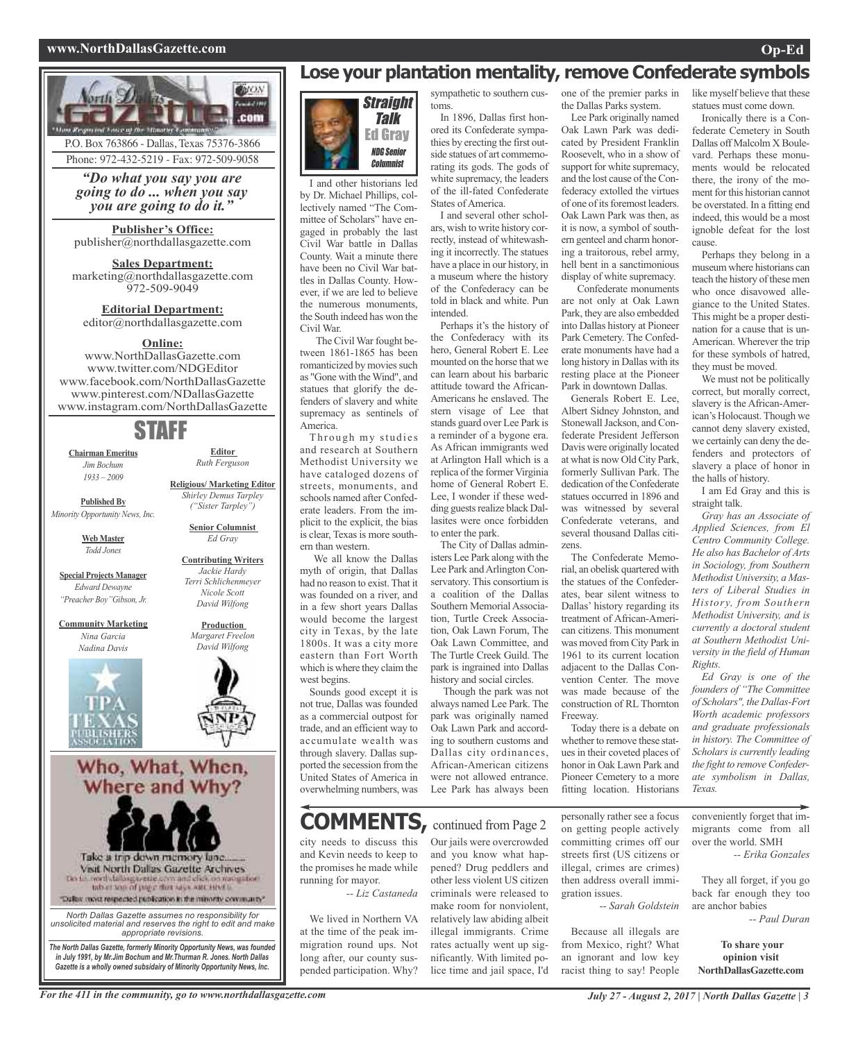### **www.NorthDallasGazette.com Op-Ed**



Phone: 972-432-5219 - Fax: 972-509-9058

*"Do what you say you are going to do ... when you say you are going to do it."*

**Publisher's Office:** publisher@northdallasgazette.com

#### **Sales Department:** marketing@northdallasgazette.com 972-509-9049

**Editorial Department:** editor@northdallasgazette.com

### **Online:**

www.NorthDallasGazette.com www.twitter.com/NDGEditor www.facebook.com/NorthDallasGazette www.pinterest.com/NDallasGazette www.instagram.com/NorthDallasGazette

### STAFF

**Editor** *Ruth Ferguson*

**Religious/ Marketing Editor** *Shirley Demus Tarpley ("Sister Tarpley")* **Senior Columnist** *Ed Gray*

> **Contributing Writers** *Jackie Hardy Terri Schlichenmeyer Nicole Scott David Wilfong*

> > **Production** *Margaret Freelon David Wilfong*

**Chairman Emeritus** *Jim Bochum 1933 – 2009*

**Published By** *Minority Opportunity News, Inc.*

**Web Master**

*Todd Jones*

**Special Projects Manager** *Edward Dewayne "Preacher Boy"Gibson, Jr.*

**Community Marketing** *Nina Garcia Nadina Davis*







"Dallaw most respected publication in the minority community"

*North Dallas Gazette assumes no responsibility for unsolicited material and reserves the right to edit and make appropriate revisions. The North Dallas Gazette, formerly Minority Opportunity News, was founded*

*in July 1991, by Mr.Jim Bochum and Mr.Thurman R. Jones. North Dallas Gazette is a wholly owned subsidairy of Minority Opportunity News, Inc.*

### **Lose your plantation mentality, remove Confederate symbols**



toms.

In 1896, Dallas first honored its Confederate sympathies by erecting the first outside statues of art commemorating its gods. The gods of white supremacy, the leaders of the ill-fated Confederate

I and several other scholars, wish to write history correctly, instead of whitewashing it incorrectly. The statues have a place in our history, in a museum where the history of the Confederacy can be told in black and white. Pun

Perhaps it's the history of the Confederacy with its hero, General Robert E. Lee mounted on the horse that we can learn about his barbaric attitude toward the African-Americans he enslaved. The stern visage of Lee that stands guard over Lee Park is a reminder of a bygone era. As African immigrants wed at Arlington Hall which is a replica of the former Virginia home of General Robert E. Lee, I wonder if these wedding guests realize black Dallasites were once forbidden

States of America.

intended.

to enter the park.

The City of Dallas administers Lee Park along with the Lee Park and Arlington Conservatory. This consortium is a coalition of the Dallas Southern Memorial Association, Turtle Creek Association, Oak Lawn Forum, The Oak Lawn Committee, and The Turtle Creek Guild. The park is ingrained into Dallas history and social circles. Though the park was not always named Lee Park. The park was originally named Oak Lawn Park and according to southern customs and Dallas city ordinances, African-American citizens were not allowed entrance. Lee Park has always been

I and other historians led by Dr. Michael Phillips, collectively named "The Committee of Scholars" have engaged in probably the last Civil War battle in Dallas County. Wait a minute there have been no Civil War battles in Dallas County. However, if we are led to believe the numerous monuments, the South indeed has won the Civil War.

The Civil War fought between 1861-1865 has been romanticized by movies such as "Gone with theWind", and statues that glorify the defenders of slavery and white supremacy as sentinels of America.

Through my studies and research at Southern Methodist University we have cataloged dozens of streets, monuments, and schools named after Confederate leaders. From the implicit to the explicit, the bias is clear, Texas is more southern than western.

We all know the Dallas myth of origin, that Dallas had no reason to exist. That it was founded on a river, and in a few short years Dallas would become the largest city in Texas, by the late 1800s. It was a city more eastern than Fort Worth which is where they claim the west begins.

Sounds good except it is not true, Dallas was founded as a commercial outpost for trade, and an efficient way to accumulate wealth was through slavery. Dallas supported the secession from the United States of America in overwhelming numbers, was

### **COMMENTS,** continued from Page <sup>2</sup>

city needs to discuss this and Kevin needs to keep to the promises he made while running for mayor.

*-- Liz Castaneda*

We lived in Northern VA at the time of the peak immigration round ups. Not long after, our county suspended participation. Why?

Our jails were overcrowded and you know what happened? Drug peddlers and other less violent US citizen criminals were released to make room for nonviolent, relatively law abiding albeit illegal immigrants. Crime rates actually went up significantly. With limited police time and jail space, I'd

sympathetic to southern cusone of the premier parks in the Dallas Parks system.

Lee Park originally named Oak Lawn Park was dedicated by President Franklin Roosevelt, who in a show of support for white supremacy, and the lost cause of the Confederacy extolled the virtues of one of its foremost leaders. Oak Lawn Park was then, as it is now, a symbol of southern genteel and charm honoring a traitorous, rebel army, hell bent in a sanctimonious display of white supremacy.

Confederate monuments are not only at Oak Lawn Park, they are also embedded into Dallas history at Pioneer Park Cemetery. The Confederate monuments have had a long history in Dallas with its resting place at the Pioneer Park in downtown Dallas.

Generals Robert E. Lee, Albert Sidney Johnston, and Stonewall Jackson, and Confederate President Jefferson Davis were originally located at what is now Old City Park, formerly Sullivan Park. The dedication of the Confederate statues occurred in 1896 and was witnessed by several Confederate veterans, and several thousand Dallas citizens.

The Confederate Memorial, an obelisk quartered with the statues of the Confederates, bear silent witness to Dallas' history regarding its treatment of African-American citizens. This monument was moved from City Park in 1961 to its current location adjacent to the Dallas Convention Center. The move was made because of the construction of RL Thornton Freeway.

Today there is a debate on whether to remove these statues in their coveted places of honor in Oak Lawn Park and Pioneer Cemetery to a more fitting location. Historians

personally rather see a focus on getting people actively committing crimes off our streets first (US citizens or illegal, crimes are crimes) then address overall immigration issues.

Because all illegals are from Mexico, right? What an ignorant and low key racist thing to say! People

like myself believe that these statues must come down.

Ironically there is a Confederate Cemetery in South Dallas off Malcolm X Boulevard. Perhaps these monuments would be relocated there, the irony of the moment for this historian cannot be overstated. In a fitting end indeed, this would be a most ignoble defeat for the lost cause.

Perhaps they belong in a museum where historians can teach the history of these men who once disavowed allegiance to the United States. This might be a proper destination for a cause that is un-American. Wherever the trip for these symbols of hatred, they must be moved.

We must not be politically correct, but morally correct, slavery is the African-American's Holocaust. Though we cannot deny slavery existed, we certainly can deny the defenders and protectors of slavery a place of honor in the halls of history.

I am Ed Gray and this is straight talk.

*Gray has an Associate of Applied Sciences, from El Centro Community College. He also has Bachelor of Arts in Sociology, from Southern Methodist University, a Masters of Liberal Studies in History, from Southern Methodist University, and is currently a doctoral student at Southern Methodist University in the field of Human Rights.*

*Ed Gray is one of the founders of "The Committee of Scholars", the Dallas-Fort Worth academic professors and graduate professionals in history. The Committee of Scholars is currently leading the fight to remove Confederate symbolism in Dallas, Texas.*

conveniently forget that immigrants come from all over the world. SMH *-- Erika Gonzales*

They all forget, if you go back far enough they too

*-- Paul Duran*

*-- Sarah Goldstein* are anchor babies

> **To share your opinion visit NorthDallasGazette.com**

For the 411 in the community, go to www.northdallasgazette.com July 27 - August 2, 2017 | North Dallas Gazette | 3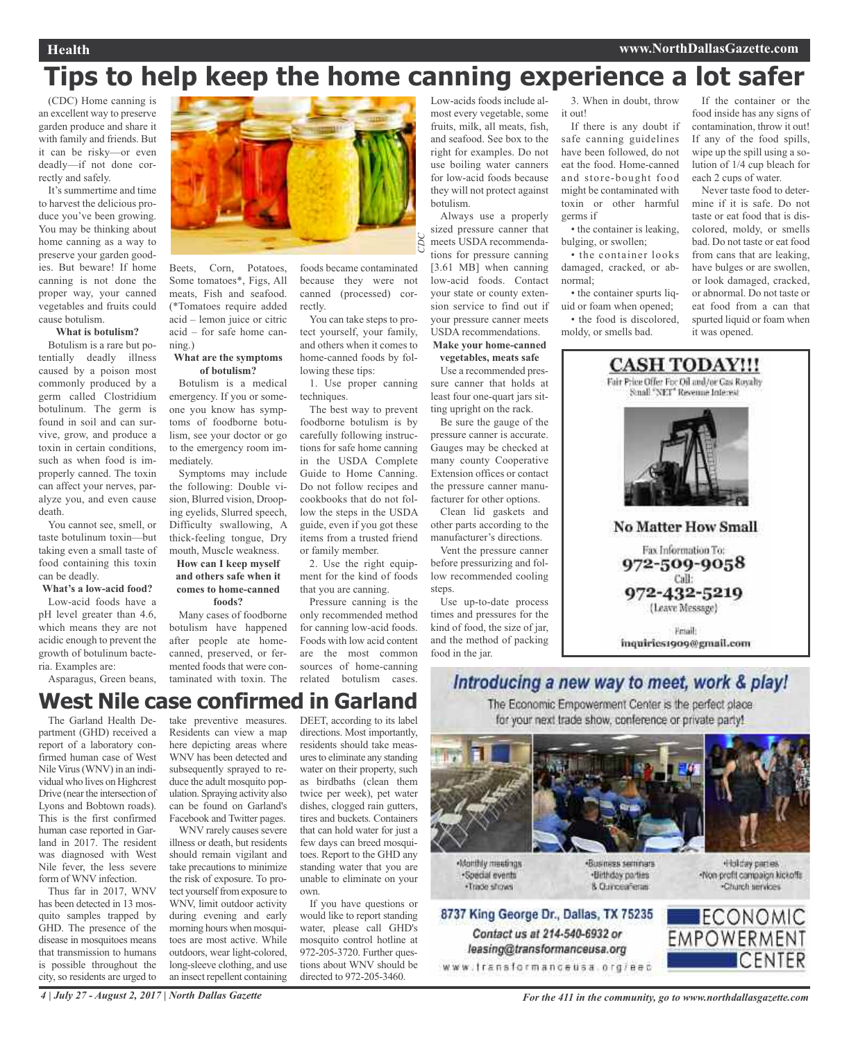### **Health www.NorthDallasGazette.com**

## **Tips to help keep the home canning experience a lot safer**

(CDC) Home canning is an excellent way to preserve garden produce and share it with family and friends. But it can be risky—or even deadly—if not done correctly and safely.

It's summertime and time to harvest the delicious produce you've been growing. You may be thinking about home canning as a way to preserve your garden goodies. But beware! If home canning is not done the proper way, your canned vegetables and fruits could cause botulism.

#### **What is botulism?**

Botulism is a rare but potentially deadly illness caused by a poison most commonly produced by a germ called Clostridium botulinum. The germ is found in soil and can survive, grow, and produce a toxin in certain conditions, such as when food is improperly canned. The toxin can affect your nerves, paralyze you, and even cause death.

You cannot see, smell, or taste botulinum toxin—but taking even a small taste of food containing this toxin can be deadly.

**What's a low-acid food?** Low-acid foods have a

pH level greater than 4.6, which means they are not acidic enough to prevent the growth of botulinum bacteria. Examples are:

Asparagus, Green beans,

The Garland Health Department (GHD) received a report of a laboratory con-

human case reported in Garland in 2017. The resident was diagnosed with West Nile fever, the less severe form of WNV infection. Thus far in 2017, WNV has been detected in 13 mosquito samples trapped by GHD. The presence of the disease in mosquitoes means that transmission to humans is possible throughout the city, so residents are urged to



Beets, Corn, Potatoes, Some tomatoes\*, Figs, All meats, Fish and seafood. (\*Tomatoes require added acid – lemon juice or citric acid – for safe home canning.)

#### **What are the symptoms of botulism?**

Botulism is a medical emergency. If you or someone you know has symptoms of foodborne botulism, see your doctor or go to the emergency room immediately.

Symptoms may include the following: Double vision, Blurred vision, Drooping eyelids, Slurred speech, Difficulty swallowing, A thick-feeling tongue, Dry mouth, Muscle weakness.

#### **How can I keep myself and others safe when it comes to home-canned foods?**

Many cases of foodborne botulism have happened after people ate homecanned, preserved, or fermented foods that were contaminated with toxin. The

take preventive measures. Residents can view a map here depicting areas where

**West Nile case confirmed in Garland**

foods became contaminated because they were not canned (processed) correctly.

You can take steps to protect yourself, your family, and others when it comes to home-canned foods by following these tips:

1. Use proper canning techniques.

The best way to prevent foodborne botulism is by carefully following instructions for safe home canning in the USDA Complete Guide to Home Canning. Do not follow recipes and cookbooks that do not follow the steps in the USDA guide, even if you got these items from a trusted friend or family member.

2. Use the right equipment for the kind of foods that you are canning.

Pressure canning is the only recommended method for canning low-acid foods. Foods with low acid content are the most common sources of home-canning related botulism cases.

DEET, according to its label directions. Most importantly, residents should take meas-

that can hold water for just a few days can breed mosquitoes. Report to the GHD any standing water that you are unable to eliminate on your

If you have questions or would like to report standing water, please call GHD's mosquito control hotline at 972-205-3720. Further questions about WNV should be directed to 972-205-3460.

own.

Low-acids foods include almost every vegetable, some fruits, milk, all meats, fish, and seafood. See box to the right for examples. Do not use boiling water canners for low-acid foods because they will not protect against botulism.

Always use a properly sized pressure canner that meets USDA recommendations for pressure canning [3.61 MB] when canning low-acid foods. Contact your state or county extension service to find out if your pressure canner meets USDA recommendations.

**Make your home-canned vegetables, meats safe**

Use a recommended pressure canner that holds at least four one-quart jars sitting upright on the rack.

Be sure the gauge of the pressure canner is accurate. Gauges may be checked at many county Cooperative Extension offices or contact the pressure canner manufacturer for other options.

Clean lid gaskets and other parts according to the manufacturer's directions.

Vent the pressure canner before pressurizing and follow recommended cooling steps.

Use up-to-date process times and pressures for the kind of food, the size of jar, and the method of packing food in the jar.

3. When in doubt, throw it out!

If there is any doubt if safe canning guidelines have been followed, do not eat the food. Home-canned and store-bought food might be contaminated with toxin or other harmful germs if

• the container is leaking, bulging, or swollen;

• the container looks damaged, cracked, or abnormal;

• the container spurts liquid or foam when opened; • the food is discolored, moldy, or smells bad.

If the container or the food inside has any signs of contamination, throw it out! If any of the food spills, wipe up the spill using a solution of 1/4 cup bleach for each 2 cups of water.

Never taste food to determine if it is safe. Do not taste or eat food that is discolored, moldy, or smells bad. Do not taste or eat food from cans that are leaking, have bulges or are swollen, or look damaged, cracked, or abnormal. Do not taste or eat food from a can that spurted liquid or foam when it was opened.



Introducing a new way to meet, work & play!

The Economic Empowerment Center is the perfect place for your next trade show, conference or private party!

8. Curicea Tenas



Contact us at 214-540-6932 or

leasing@transformanceusa.org

Monthly meetings ·Special events ·Trade shows



Holday parties. -Non-profit compaign kickoffs Charch services



firmed human case of West Nile Virus(WNV) in an individual who lives on Highcrest Drive (near the intersection of Lyons and Bobtown roads). This is the first confirmed WNV has been detected and subsequently sprayed to reduce the adult mosquito population. Spraying activity also can be found on Garland's Facebook and Twitter pages. ures to eliminate any standing water on their property, such as birdbaths (clean them twice per week), pet water dishes, clogged rain gutters, tires and buckets. Containers

> WNV rarely causes severe illness or death, but residents should remain vigilant and take precautions to minimize the risk of exposure. To protect yourself from exposure to WNV, limit outdoor activity during evening and early morning hours when mosquitoes are most active. While outdoors, wear light-colored, long-sleeve clothing, and use an insect repellent containing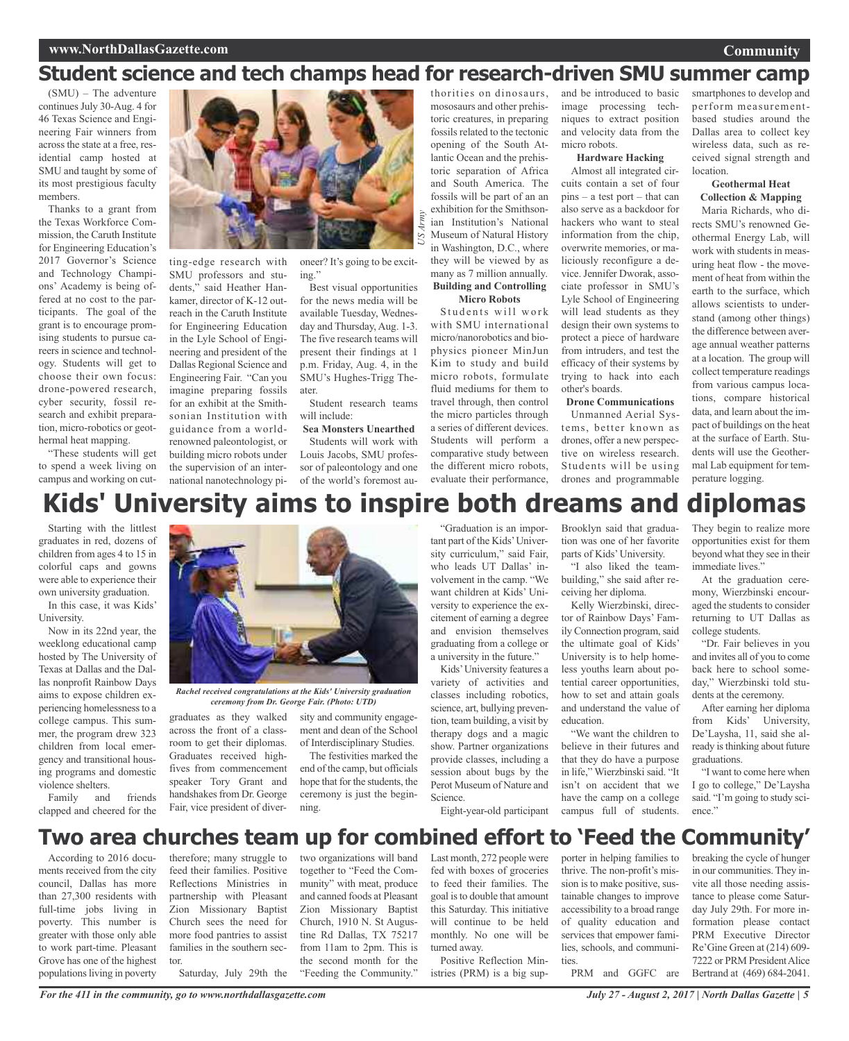### **www.NorthDallasGazette.com**

### **Student science and tech champs head for research-driven SMU summer camp**

*US Army*

(SMU) – The adventure continues July 30-Aug. 4 for 46 Texas Science and Engineering Fair winners from across the state at a free, residential camp hosted at SMU and taught by some of its most prestigious faculty members.

Thanks to a grant from the Texas Workforce Commission, the Caruth Institute for Engineering Education's 2017 Governor's Science and Technology Champions' Academy is being offered at no cost to the participants. The goal of the grant is to encourage promising students to pursue careers in science and technology. Students will get to choose their own focus: drone-powered research, cyber security, fossil research and exhibit preparation, micro-robotics or geothermal heat mapping.

"These students will get to spend a week living on campus and working on cutting-edge research with SMU professors and students," said Heather Hankamer, director of K-12 outreach in the Caruth Institute for Engineering Education in the Lyle School of Engineering and president of the Dallas Regional Science and Engineering Fair. "Can you imagine preparing fossils for an exhibit at the Smithsonian Institution with guidance from a worldrenowned paleontologist, or building micro robots under

the supervision of an international nanotechnology pi-



oneer? It's going to be exciting." Best visual opportunities

> for the news media will be available Tuesday, Wednesday and Thursday, Aug. 1-3. The five research teams will present their findings at 1 p.m. Friday, Aug. 4, in the SMU's Hughes-Trigg Theater.

Student research teams will include:

**Sea Monsters Unearthed** Students will work with Louis Jacobs, SMU professor of paleontology and one of the world's foremost au-

thorities on dinosaurs, mososaurs and other prehistoric creatures, in preparing fossils related to the tectonic opening of the South Atlantic Ocean and the prehistoric separation of Africa and South America. The fossils will be part of an an exhibition for the Smithsonian Institution's National Museum of Natural History in Washington, D.C., where they will be viewed by as many as 7 million annually. **Building and Controlling Micro Robots**

Students will work with SMU international micro/nanorobotics and biophysics pioneer MinJun Kim to study and build micro robots, formulate fluid mediums for them to travel through, then control the micro particles through a series of different devices. Students will perform a comparative study between the different micro robots, evaluate their performance,

and be introduced to basic image processing techniques to extract position and velocity data from the micro robots.

#### **Hardware Hacking**

Almost all integrated circuits contain a set of four pins – a test port – that can also serve as a backdoor for hackers who want to steal information from the chip, overwrite memories, or maliciously reconfigure a device. Jennifer Dworak, associate professor in SMU's Lyle School of Engineering will lead students as they design their own systems to protect a piece of hardware from intruders, and test the efficacy of their systems by trying to hack into each other's boards.

**Drone Communications**

Unmanned Aerial Systems, better known as drones, offer a new perspective on wireless research. Students will be using drones and programmable smartphones to develop and perform measurementbased studies around the Dallas area to collect key wireless data, such as received signal strength and location.

**Community**

### **Geothermal Heat Collection & Mapping**

Maria Richards, who directs SMU's renowned Geothermal Energy Lab, will work with students in measuring heat flow - the movement of heat from within the earth to the surface, which allows scientists to understand (among other things) the difference between average annual weather patterns at a location. The group will collect temperature readings from various campus locations, compare historical data, and learn about the impact of buildings on the heat at the surface of Earth. Students will use the Geothermal Lab equipment for temperature logging.

## **Kids' University aims to inspire both dreams and diplomas**

Starting with the littlest graduates in red, dozens of children from ages 4 to 15 in colorful caps and gowns were able to experience their own university graduation.

In this case, it was Kids' University.

Now in its 22nd year, the weeklong educational camp hosted by The University of Texas at Dallas and the Dallas nonprofit Rainbow Days aims to expose children experiencing homelessness to a college campus. This summer, the program drew 323 children from local emergency and transitional housing programs and domestic violence shelters.

Family and friends clapped and cheered for the



*Rachel received congratulations at the Kids' University graduation ceremony from Dr. George Fair. (Photo: UTD)*

ning.

graduates as they walked across the front of a classroom to get their diplomas. Graduates received highfives from commencement speaker Tory Grant and handshakes from Dr. George Fair, vice president of diver-

"Graduation is an important part of the Kids'University curriculum," said Fair, who leads UT Dallas' involvement in the camp. "We want children at Kids' University to experience the excitement of earning a degree and envision themselves graduating from a college or a university in the future."

Kids'University features a variety of activities and classes including robotics, science, art, bullying prevention, team building, a visit by therapy dogs and a magic show. Partner organizations provide classes, including a session about bugs by the Perot Museum of Nature and Science.

Eight-year-old participant

Brooklyn said that graduation was one of her favorite parts of Kids' University.

"I also liked the teambuilding," she said after receiving her diploma.

Kelly Wierzbinski, director of Rainbow Days' Family Connection program, said the ultimate goal of Kids' University is to help homeless youths learn about potential career opportunities, how to set and attain goals and understand the value of education.

"We want the children to believe in their futures and that they do have a purpose in life," Wierzbinski said. "It isn't on accident that we have the camp on a college campus full of students.

They begin to realize more opportunities exist for them beyond what they see in their immediate lives."

At the graduation ceremony, Wierzbinski encouraged the students to consider returning to UT Dallas as college students.

"Dr. Fair believes in you and invites all of you to come back here to school someday," Wierzbinski told students at the ceremony.

After earning her diploma from Kids' University, De'Laysha, 11, said she already is thinking about future graduations.

"I want to come here when I go to college," De'Laysha said. "I'm going to study science."

### **Two area churches team up for combined effort to 'Feed the Community'**

According to 2016 documents received from the city council, Dallas has more than 27,300 residents with full-time jobs living in poverty. This number is greater with those only able to work part-time. Pleasant Grove has one of the highest populations living in poverty

therefore; many struggle to feed their families. Positive Reflections Ministries in partnership with Pleasant Zion Missionary Baptist Church sees the need for more food pantries to assist families in the southern sector.

Saturday, July 29th the

two organizations will band together to "Feed the Community" with meat, produce and canned foods at Pleasant Zion Missionary Baptist Church, 1910 N. St Augustine Rd Dallas, TX 75217 from 11am to 2pm. This is the second month for the "Feeding the Community."

sity and community engagement and dean of the School of Interdisciplinary Studies. The festivities marked the end of the camp, but officials hope that for the students, the ceremony is just the begin-

> Last month, 272 people were fed with boxes of groceries to feed their families. The goal isto double that amount this Saturday. This initiative will continue to be held monthly. No one will be turned away.

Positive Reflection Ministries (PRM) is a big supporter in helping families to thrive. The non-profit's mission is to make positive, sustainable changes to improve accessibility to a broad range of quality education and services that empower families, schools, and communities.

PRM and GGFC are

breaking the cycle of hunger in our communities. They invite all those needing assistance to please come Saturday July 29th. For more information please contact PRM Executive Director Re'Gine Green at (214) 609- 7222 or PRM PresidentAlice Bertrand at (469) 684-2041.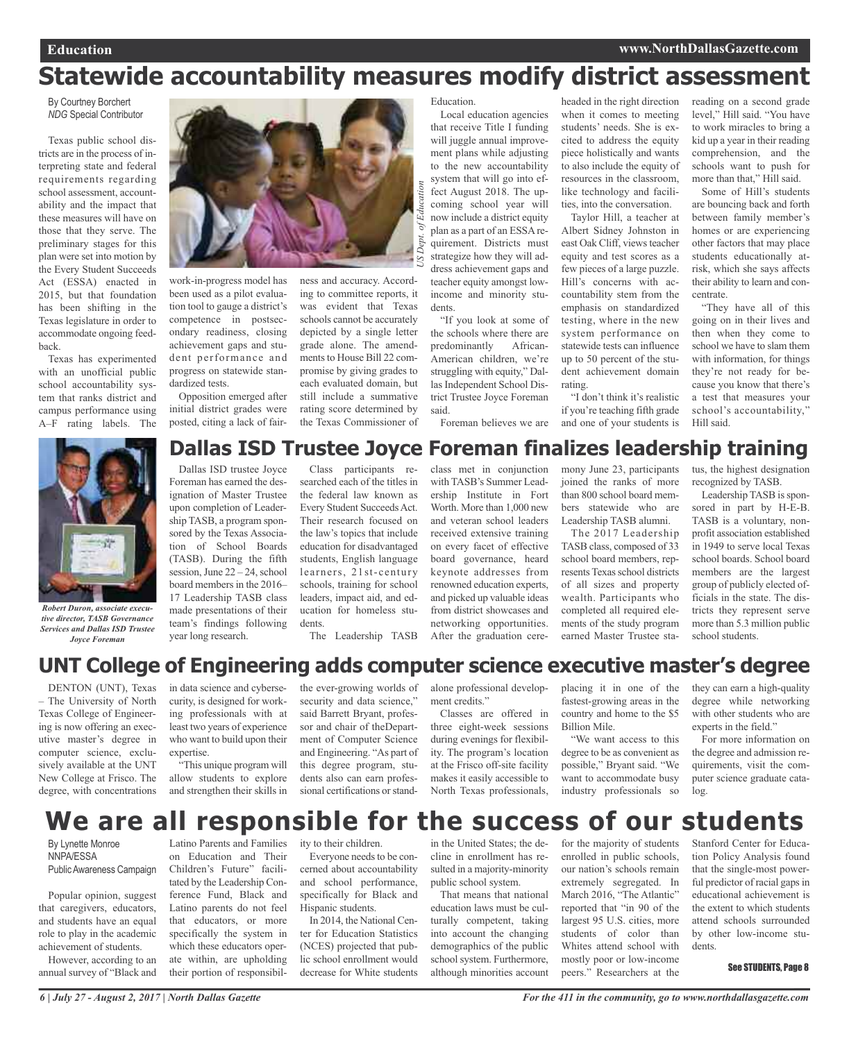## **Statewide accountability measures modify district assessment**

*US*

*Dept. of*

*Education*

Education

By Courtney Borchert *NDG* Special Contributor

Texas public school districts are in the process of interpreting state and federal requirements regarding school assessment, accountability and the impact that these measures will have on those that they serve. The preliminary stages for this plan were set into motion by the Every Student Succeeds Act (ESSA) enacted in 2015, but that foundation has been shifting in the Texas legislature in order to accommodate ongoing feedback.

Texas has experimented with an unofficial public school accountability system that ranks district and campus performance using A–F rating labels. The



work-in-progress model has been used as a pilot evaluation tool to gauge a district's competence in postsecondary readiness, closing

achievement gaps and student performance and progress on statewide standardized tests. Opposition emerged after

initial district grades were posted, citing a lack of fair-

ness and accuracy. According to committee reports, it was evident that Texas schools cannot be accurately depicted by a single letter grade alone. The amendments to House Bill 22 compromise by giving grades to each evaluated domain, but still include a summative rating score determined by the Texas Commissioner of

Education.

Local education agencies that receive Title I funding will juggle annual improvement plans while adjusting to the new accountability system that will go into effect August 2018. The upcoming school year will now include a district equity plan as a part of an ESSArequirement. Districts must strategize how they will address achievement gaps and teacher equity amongst lowincome and minority students.

"If you look at some of the schools where there are predominantly African-American children, we're struggling with equity," Dallas Independent School District Trustee Joyce Foreman said.

Foreman believes we are

**Dallas ISD Trustee Joyce Foreman finalizes leadership training**

headed in the right direction when it comes to meeting students' needs. She is excited to address the equity piece holistically and wants to also include the equity of resources in the classroom, like technology and facilities, into the conversation.

Taylor Hill, a teacher at Albert Sidney Johnston in east Oak Cliff, views teacher equity and test scores as a few pieces of a large puzzle. Hill's concerns with accountability stem from the emphasis on standardized testing, where in the new system performance on statewide tests can influence up to 50 percent of the student achievement domain rating.

"I don't think it's realistic if you're teaching fifth grade and one of your students is reading on a second grade level," Hill said. "You have to work miracles to bring a kid up a year in their reading comprehension, and the schools want to push for more than that," Hill said.

Some of Hill's students are bouncing back and forth between family member's homes or are experiencing other factors that may place students educationally atrisk, which she says affects their ability to learn and concentrate.

"They have all of this going on in their lives and then when they come to school we have to slam them with information, for things they're not ready for because you know that there's a test that measures your school's accountability," Hill said.

# Dallas ISD trustee Joyce Foreman has earned the des-

*Robert Duron, associate executive director, TASB Governance Services and Dallas ISD Trustee Joyce Foreman*

ignation of Master Trustee upon completion of Leadership TASB, a program sponsored by the Texas Association of School Boards (TASB). During the fifth session, June  $22 - 24$ , school board members in the 2016– 17 Leadership TASB class made presentations of their team's findings following year long research.

Class participants researched each of the titles in the federal law known as Every Student SucceedsAct. Their research focused on the law's topics that include education for disadvantaged students, English language learners, 21st-century schools, training for school leaders, impact aid, and education for homeless students.

The Leadership TASB

class met in conjunction with TASB's Summer Leadership Institute in Fort Worth. More than 1,000 new and veteran school leaders received extensive training on every facet of effective board governance, heard keynote addresses from renowned education experts, and picked up valuable ideas from district showcases and networking opportunities. After the graduation ceremony June 23, participants joined the ranks of more than 800 school board members statewide who are Leadership TASB alumni.

The 2017 Leadership TASB class, composed of 33 school board members, represents Texas school districts of all sizes and property wealth. Participants who completed all required elements of the study program earned Master Trustee status, the highest designation recognized by TASB.

Leadership TASB is sponsored in part by H-E-B. TASB is a voluntary, nonprofit association established in 1949 to serve local Texas school boards. School board members are the largest group of publicly elected officials in the state. The districts they represent serve more than 5.3 million public school students.

### **UNT College of Engineering adds computer science executive master's degree**

DENTON (UNT), Texas – The University of North Texas College of Engineering is now offering an executive master's degree in computer science, exclusively available at the UNT New College at Frisco. The degree, with concentrations in data science and cybersecurity, is designed for working professionals with at least two years of experience who want to build upon their expertise.

"This unique program will allow students to explore and strengthen their skills in

the ever-growing worlds of security and data science," said Barrett Bryant, professor and chair of theDepartment of Computer Science and Engineering. "As part of this degree program, students also can earn professional certifications or stand-

alone professional development credits."

Classes are offered in three eight-week sessions during evenings for flexibility. The program's location at the Frisco off-site facility makes it easily accessible to North Texas professionals,

placing it in one of the fastest-growing areas in the country and home to the \$5 Billion Mile.

"We want access to this degree to be as convenient as possible," Bryant said. "We want to accommodate busy industry professionals so

they can earn a high-quality degree while networking with other students who are experts in the field."

For more information on the degree and admission requirements, visit the computer science graduate cata- $\log$ 

## **We are all responsible for the success of our students**

By Lynette Monroe NNPA/ESSA PublicAwareness Campaign

Popular opinion, suggest that caregivers, educators, and students have an equal role to play in the academic achievement of students.

However, according to an annual survey of "Black and

Latino Parents and Families on Education and Their Children's Future" facilitated by the Leadership Conference Fund, Black and Latino parents do not feel that educators, or more specifically the system in which these educators operate within, are upholding their portion of responsibil-

ity to their children.

Everyone needs to be concerned about accountability and school performance, specifically for Black and Hispanic students.

In 2014, the National Center for Education Statistics (NCES) projected that public school enrollment would decrease for White students in the United States; the decline in enrollment has resulted in a majority-minority public school system.

That means that national education laws must be culturally competent, taking into account the changing demographics of the public school system. Furthermore, although minorities account

for the majority of students enrolled in public schools, our nation's schools remain extremely segregated. In March 2016, "The Atlantic" reported that "in 90 of the largest 95 U.S. cities, more students of color than Whites attend school with mostly poor or low-income peers." Researchers at the

Stanford Center for Education Policy Analysis found that the single-most powerful predictor of racial gaps in educational achievement is the extent to which students attend schools surrounded by other low-income students.

### See STUDENTS, Page 8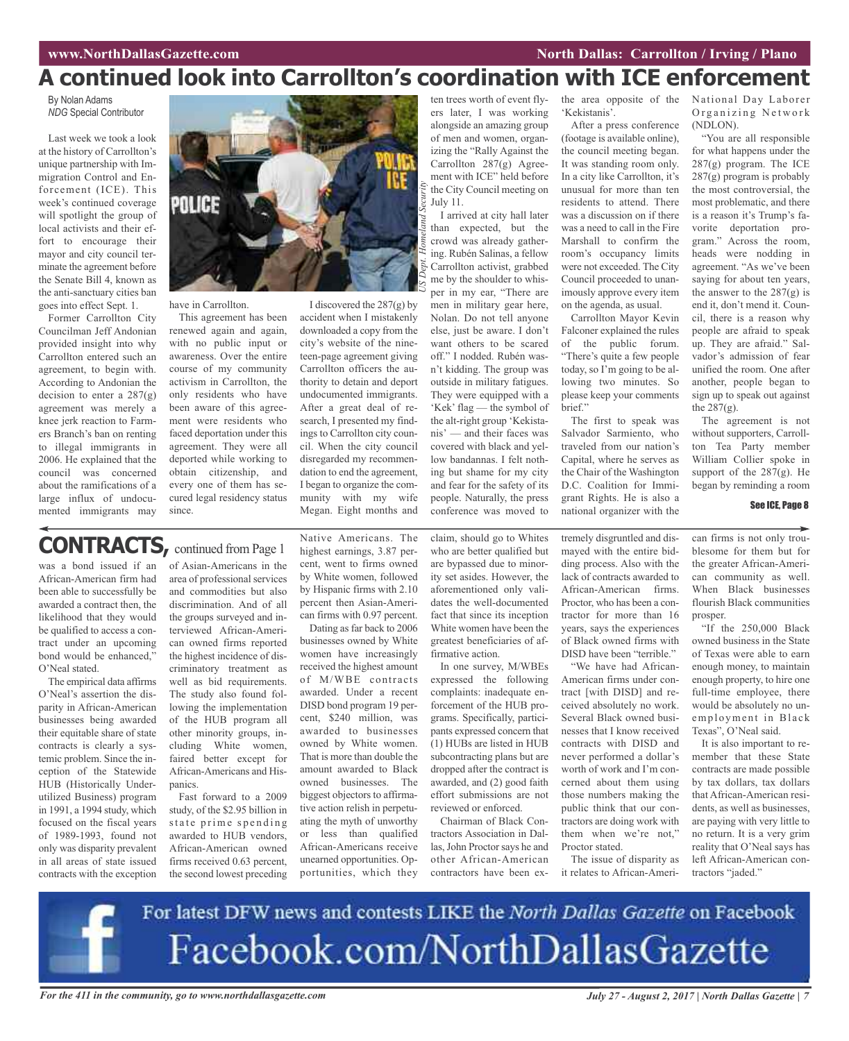## **A continued look into Carrollton's coordination with ICE enforcement**

*Security*

By Nolan Adams *NDG* Special Contributor

Last week we took a look at the history of Carrollton's unique partnership with Immigration Control and Enforcement (ICE). This week's continued coverage will spotlight the group of local activists and their effort to encourage their mayor and city council terminate the agreement before the Senate Bill 4, known as the anti-sanctuary cities ban goes into effect Sept. 1.

Former Carrollton City Councilman Jeff Andonian provided insight into why Carrollton entered such an agreement, to begin with. According to Andonian the decision to enter a  $287(g)$ agreement was merely a knee jerk reaction to Farmers Branch's ban on renting to illegal immigrants in 2006. He explained that the council was concerned about the ramifications of a large influx of undocumented immigrants may



have in Carrollton.

This agreement has been renewed again and again, with no public input or awareness. Over the entire course of my community activism in Carrollton, the only residents who have been aware of this agreement were residents who faced deportation under this agreement. They were all deported while working to obtain citizenship, and every one of them has secured legal residency status since.

*US Dept. Homeland* I discovered the 287(g) by accident when I mistakenly downloaded a copy from the city's website of the nineteen-page agreement giving Carrollton officers the authority to detain and deport undocumented immigrants. After a great deal of research, I presented my findings to Carrollton city council. When the city council disregarded my recommendation to end the agreement, I began to organize the community with my wife Megan. Eight months and

ten trees worth of event flyers later, I was working alongside an amazing group of men and women, organizing the "Rally Against the Carrollton 287(g) Agreement with ICE" held before the City Council meeting on July 11.

I arrived at city hall later than expected, but the crowd was already gathering. Rubén Salinas, a fellow Carrollton activist, grabbed me by the shoulder to whisper in my ear, "There are men in military gear here, Nolan. Do not tell anyone else, just be aware. I don't want others to be scared off." I nodded. Rubén wasn't kidding. The group was outside in military fatigues. They were equipped with a 'Kek' flag — the symbol of the alt-right group 'Kekistanis' — and their faces was covered with black and yellow bandannas. I felt nothing but shame for my city and fear for the safety of its people. Naturally, the press conference was moved to

the area opposite of the 'Kekistanis'.

After a press conference (footage is available online), the council meeting began. It was standing room only. In a city like Carrollton, it's unusual for more than ten residents to attend. There was a discussion on if there was a need to call in the Fire Marshall to confirm the room's occupancy limits were not exceeded. The City Council proceeded to unanimously approve every item on the agenda, as usual.

Carrollton Mayor Kevin Falconer explained the rules of the public forum. "There's quite a few people today, so I'm going to be allowing two minutes. So please keep your comments brief"

The first to speak was Salvador Sarmiento, who traveled from our nation's Capital, where he serves as the Chair of the Washington D.C. Coalition for Immigrant Rights. He is also a national organizer with the

National Day Laborer Organizing Network (NDLON).

"You are all responsible for what happens under the  $287(g)$  program. The ICE 287(g) program is probably the most controversial, the most problematic, and there is a reason it's Trump's favorite deportation program." Across the room, heads were nodding in agreement. "As we've been saying for about ten years, the answer to the  $287(g)$  is end it, don't mend it. Council, there is a reason why people are afraid to speak up. They are afraid." Salvador's admission of fear unified the room. One after another, people began to sign up to speak out against the  $287(g)$ .

The agreement is not without supporters, Carrollton Tea Party member William Collier spoke in support of the  $287(g)$ . He began by reminding a room

#### See ICE, Page 8

### **CONTRACTS,** continued from Page <sup>1</sup>

was a bond issued if an African-American firm had been able to successfully be awarded a contract then, the likelihood that they would be qualified to access a contract under an upcoming bond would be enhanced," O'Neal stated.

The empirical data affirms O'Neal's assertion the disparity in African-American businesses being awarded their equitable share of state contracts is clearly a systemic problem. Since the inception of the Statewide HUB (Historically Underutilized Business) program in 1991, a 1994 study, which focused on the fiscal years of 1989-1993, found not only was disparity prevalent in all areas of state issued contracts with the exception

of Asian-Americans in the area of professional services and commodities but also discrimination. And of all the groups surveyed and interviewed African-American owned firms reported the highest incidence of discriminatory treatment as well as bid requirements. The study also found following the implementation of the HUB program all other minority groups, including White women, faired better except for African-Americans and Hispanics.

Fast forward to a 2009 study, of the \$2.95 billion in state prime spending awarded to HUB vendors, African-American owned firms received 0.63 percent, the second lowest preceding

Native Americans. The highest earnings, 3.87 percent, went to firms owned by White women, followed by Hispanic firms with 2.10 percent then Asian-American firms with 0.97 percent.

Dating as far back to 2006 businesses owned by White women have increasingly received the highest amount of M/WBE contracts awarded. Under a recent DISD bond program 19 percent, \$240 million, was awarded to businesses owned by White women. That is more than double the amount awarded to Black owned businesses. The biggest objectors to affirmative action relish in perpetuating the myth of unworthy or less than qualified African-Americans receive unearned opportunities. Opportunities, which they

claim, should go to Whites who are better qualified but are bypassed due to minority set asides. However, the aforementioned only validates the well-documented fact that since its inception White women have been the greatest beneficiaries of affirmative action.

In one survey, M/WBEs expressed the following complaints: inadequate enforcement of the HUB programs. Specifically, participants expressed concern that (1) HUBs are listed in HUB subcontracting plans but are dropped after the contract is awarded, and (2) good faith effort submissions are not reviewed or enforced.

Chairman of Black Contractors Association in Dallas, John Proctor says he and other African-American contractors have been extremely disgruntled and dismayed with the entire bidding process. Also with the lack of contracts awarded to African-American firms. Proctor, who has been a contractor for more than 16 years, says the experiences of Black owned firms with DISD have been "terrible."

"We have had African-American firms under contract [with DISD] and received absolutely no work. Several Black owned businesses that I know received contracts with DISD and never performed a dollar's worth of work and I'm concerned about them using those numbers making the public think that our contractors are doing work with them when we're not," Proctor stated.

The issue of disparity as it relates to African-American firms is not only troublesome for them but for the greater African-American community as well. When Black businesses flourish Black communities prosper.

"If the 250,000 Black owned business in the State of Texas were able to earn enough money, to maintain enough property, to hire one full-time employee, there would be absolutely no unemployment in Black Texas", O'Neal said.

It is also important to remember that these State contracts are made possible by tax dollars, tax dollars that African-American residents, as well as businesses, are paying with very little to no return. It is a very grim reality that O'Neal says has left African-American contractors "jaded."

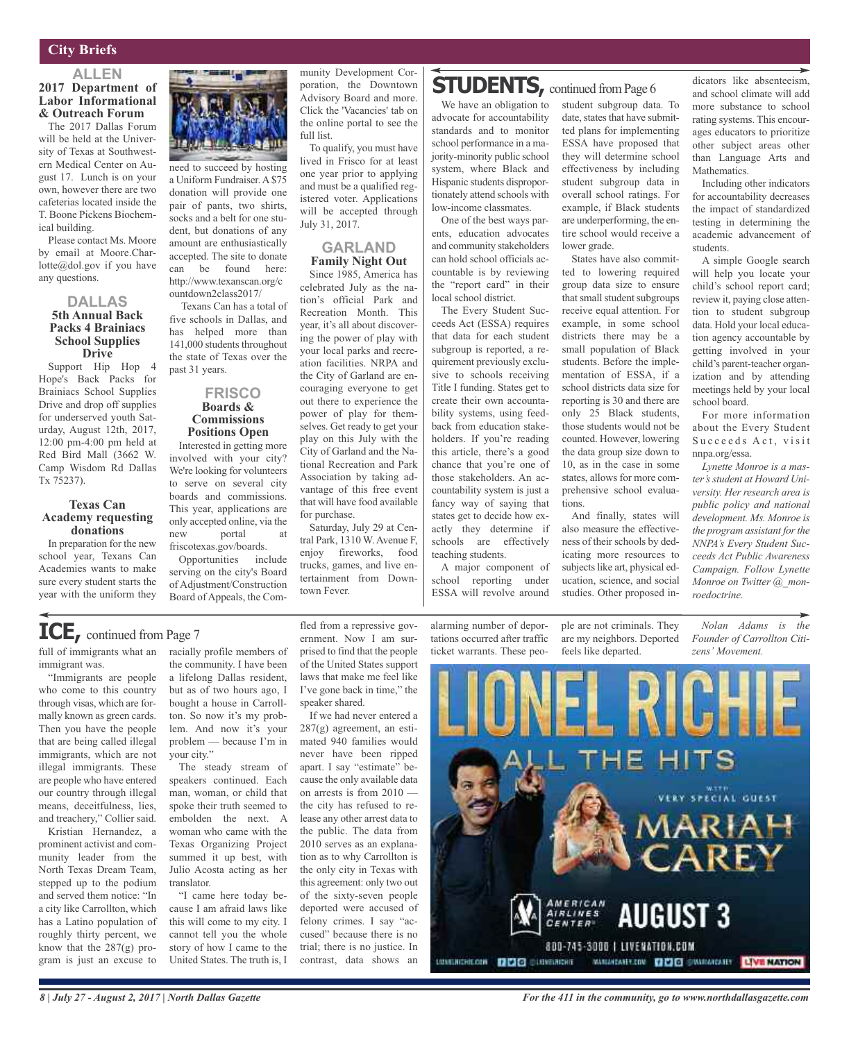### **City Briefs**

### **ALLEN 2017 Department of Labor Informational & Outreach Forum**

The 2017 Dallas Forum will be held at the University of Texas at Southwestern Medical Center on August 17. Lunch is on your own, however there are two cafeterias located inside the T. Boone Pickens Biochemical building.

Please contact Ms. Moore by email at Moore.Charlotte@dol.gov if you have any questions.

### **DALLAS**

### **5th Annual Back Packs 4 Brainiacs School Supplies Drive**

Support Hip Hop 4 Hope's Back Packs for Brainiacs School Supplies Drive and drop off supplies for underserved youth Saturday, August 12th, 2017, 12:00 pm-4:00 pm held at Red Bird Mall (3662 W. Camp Wisdom Rd Dallas Tx 75237).

#### **Texas Can Academy requesting donations**

In preparation for the new school year, Texans Can Academies wants to make sure every student starts the year with the uniform they



need to succeed by hosting a Uniform Fundraiser.A\$75 donation will provide one pair of pants, two shirts, socks and a belt for one student, but donations of any amount are enthusiastically accepted. The site to donate can be found here: http://www.texanscan.org/c ountdown2class2017/

Texans Can has a total of five schools in Dallas, and has helped more than 141,000 students throughout the state of Texas over the past 31 years.

### **FRISCO Boards & Commissions Positions Open**

Interested in getting more involved with your city? We're looking for volunteers to serve on several city boards and commissions. This year, applications are only accepted online, via the new portal friscotexas.gov/boards.

Opportunities include serving on the city's Board of Adjustment/Construction Board of Appeals, the Community Development Corporation, the Downtown Advisory Board and more. Click the 'Vacancies' tab on the online portal to see the full list.

To qualify, you must have lived in Frisco for at least one year prior to applying and must be a qualified registered voter. Applications will be accepted through July 31, 2017.

### **GARLAND Family Night Out**

Since 1985, America has celebrated July as the nation's official Park and Recreation Month. This year, it's all about discovering the power of play with your local parks and recreation facilities. NRPA and the City of Garland are encouraging everyone to get out there to experience the power of play for themselves. Get ready to get your play on this July with the City of Garland and the National Recreation and Park Association by taking advantage of this free event that will have food available for purchase.

Saturday, July 29 at Central Park, 1310 W.Avenue F, enjoy fireworks, food trucks, games, and live entertainment from Downtown Fever.

### **STUDENTS**, continued from Page 6

We have an obligation to advocate for accountability standards and to monitor school performance in a majority-minority public school system, where Black and Hispanic students disproportionately attend schools with low-income classmates.

One of the best ways parents, education advocates and community stakeholders can hold school officials accountable is by reviewing the "report card" in their local school district.

The Every Student Succeeds Act (ESSA) requires that data for each student subgroup is reported, a requirement previously exclusive to schools receiving Title I funding. States get to create their own accountability systems, using feedback from education stakeholders. If you're reading this article, there's a good chance that you're one of those stakeholders. An accountability system is just a fancy way of saying that states get to decide how exactly they determine if schools are effectively teaching students. A major component of

school reporting under ESSA will revolve around

student subgroup data. To date, states that have submitted plans for implementing ESSA have proposed that they will determine school effectiveness by including student subgroup data in overall school ratings. For example, if Black students are underperforming, the entire school would receive a lower grade.

States have also committed to lowering required group data size to ensure that small student subgroups receive equal attention. For example, in some school districts there may be a small population of Black students. Before the implementation of ESSA, if a school districts data size for reporting is 30 and there are only 25 Black students, those students would not be counted. However, lowering the data group size down to 10, as in the case in some states, allows for more comprehensive school evaluations.

And finally, states will also measure the effectiveness of their schools by dedicating more resources to subjects like art, physical education, science, and social studies. Other proposed in-

dicators like absenteeism, and school climate will add more substance to school rating systems. This encourages educators to prioritize other subject areas other than Language Arts and Mathematics.

Including other indicators for accountability decreases the impact of standardized testing in determining the academic advancement of students.

A simple Google search will help you locate your child's school report card; review it, paying close attention to student subgroup data. Hold your local education agency accountable by getting involved in your child's parent-teacher organization and by attending meetings held by your local school board.

For more information about the Every Student Succeeds Act, visit nnpa.org/essa.

*Lynette Monroe is a master'sstudent at Howard University. Her research area is public policy and national development. Ms. Monroe is the program assistant for the NNPA's Every Student Succeeds Act Public Awareness Campaign. Follow Lynette Monroe on Twitter @\_monroedoctrine.*

**ICE,** continued from Page <sup>7</sup>

full of immigrants what an racially profile members of immigrant was.

"Immigrants are people who come to this country through visas, which are formally known as green cards. Then you have the people that are being called illegal immigrants, which are not illegal immigrants. These are people who have entered our country through illegal means, deceitfulness, lies, and treachery," Collier said.

Kristian Hernandez, a prominent activist and community leader from the North Texas Dream Team, stepped up to the podium and served them notice: "In a city like Carrollton, which has a Latino population of roughly thirty percent, we know that the  $287(g)$  program is just an excuse to

the community. I have been a lifelong Dallas resident, but as of two hours ago, I bought a house in Carrollton. So now it's my problem. And now it's your problem — because I'm in your city."

The steady stream of speakers continued. Each man, woman, or child that spoke their truth seemed to embolden the next. A woman who came with the Texas Organizing Project summed it up best, with Julio Acosta acting as her translator.

"I came here today because I am afraid laws like this will come to my city. I cannot tell you the whole story of how I came to the United States. The truth is, I

fled from a repressive government. Now I am surprised to find that the people of the United States support laws that make me feel like I've gone back in time," the speaker shared.

If we had never entered a  $287(g)$  agreement, an estimated 940 families would never have been ripped apart. I say "estimate" because the only available data on arrests is from 2010 the city has refused to release any other arrest data to the public. The data from 2010 serves as an explanation as to why Carrollton is the only city in Texas with this agreement: only two out of the sixty-seven people deported were accused of felony crimes. I say "accused" because there is no trial; there is no justice. In contrast, data shows an

alarming number of deportations occurred after traffic ticket warrants. These peo-

ple are not criminals. They are my neighbors. Deported feels like departed.

*Nolan Adams is the Founder of Carrollton Citizens' Movement.*



*For the 411 in the community, go to www.northdallasgazette.com*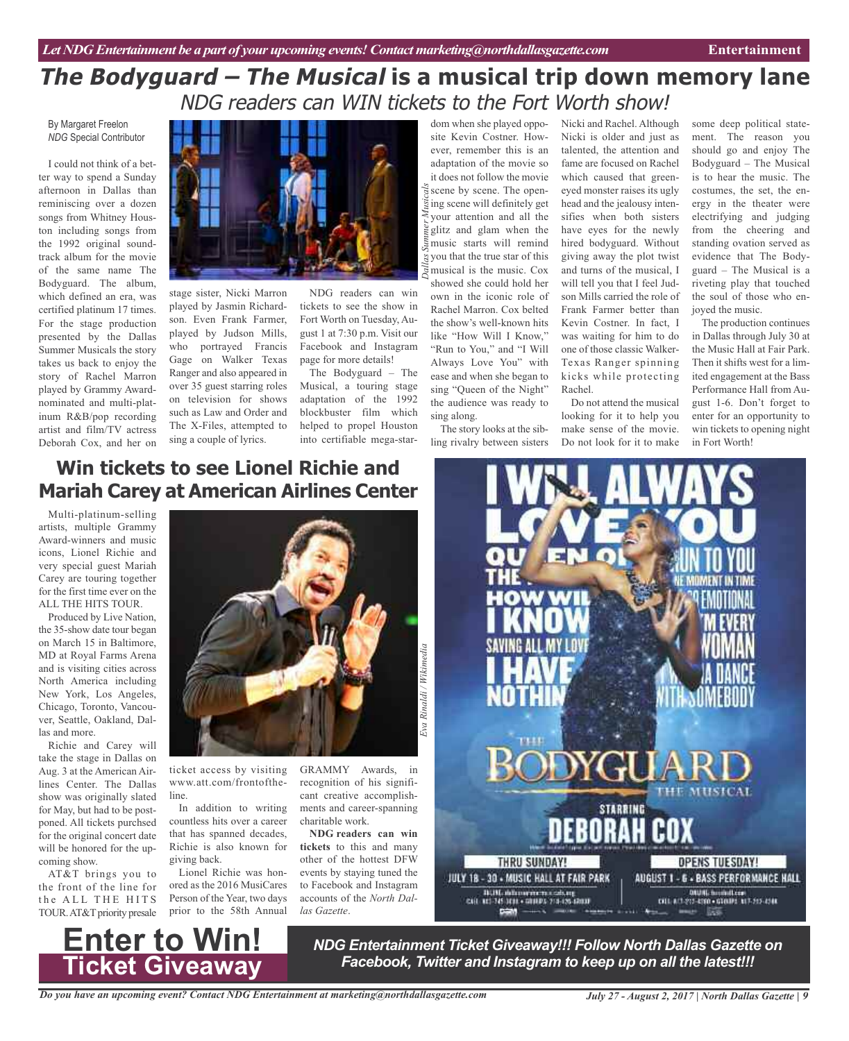## **The Bodyguard – The Musical is a musical trip down memory lane** NDG readers can WIN tickets to the Fort Worth show!

*mer Musicals*

By Margaret Freelon *NDG* Special Contributor

I could not think of a better way to spend a Sunday afternoon in Dallas than reminiscing over a dozen songs from Whitney Houston including songs from the 1992 original soundtrack album for the movie of the same name The Bodyguard. The album, which defined an era, was certified platinum 17 times. For the stage production presented by the Dallas Summer Musicals the story takes us back to enjoy the story of Rachel Marron played by Grammy Awardnominated and multi-platinum R&B/pop recording artist and film/TV actress Deborah Cox, and her on



stage sister, Nicki Marron played by Jasmin Richardson. Even Frank Farmer, played by Judson Mills, who portrayed Francis Gage on Walker Texas Ranger and also appeared in over 35 guest starring roles on television for shows such as Law and Order and The X-Files, attempted to sing a couple of lyrics.

NDG readers can win tickets to see the show in Fort Worth on Tuesday, August 1 at 7:30 p.m. Visit our Facebook and Instagram page for more details!

The Bodyguard – The Musical, a touring stage adaptation of the 1992 blockbuster film which helped to propel Houston into certifiable mega-star-

dom when she played opposite Kevin Costner. However, remember this is an adaptation of the movie so it does not follow the movie s scene by scene. The open- $\frac{3}{3}$ ing scene will definitely get your attention and all the  $\frac{a}{b}$  glitz and glam when the  $\bar{\tilde{\mathbf{s}}}$  music starts will remind  $\dot{g}$  you that the true star of this musical is the music. Cox showed she could hold her own in the iconic role of Rachel Marron. Cox belted the show's well-known hits like "How Will I Know," "Run to You," and "I Will Always Love You" with ease and when she began to sing "Queen of the Night" the audience was ready to

sing along. The story looks at the sibling rivalry between sisters Nicki and Rachel. Although Nicki is older and just as talented, the attention and fame are focused on Rachel which caused that greeneyed monster raises its ugly head and the jealousy intensifies when both sisters have eyes for the newly hired bodyguard. Without giving away the plot twist and turns of the musical, I will tell you that I feel Judson Mills carried the role of Frank Farmer better than Kevin Costner. In fact, I was waiting for him to do one of those classic Walker-Texas Ranger spinning kicks while protecting Rachel.

Do not attend the musical looking for it to help you make sense of the movie. Do not look for it to make

some deep political statement. The reason you should go and enjoy The Bodyguard – The Musical is to hear the music. The costumes, the set, the energy in the theater were electrifying and judging from the cheering and standing ovation served as evidence that The Bodyguard – The Musical is a riveting play that touched the soul of those who enjoyed the music.

The production continues in Dallas through July 30 at the Music Hall at Fair Park. Then it shifts west for a limited engagement at the Bass Performance Hall from August 1-6. Don't forget to enter for an opportunity to win tickets to opening night in Fort Worth!

### **Win tickets to see Lionel Richie and Mariah Carey at American Airlines Center**

Multi-platinum-selling artists, multiple Grammy Award-winners and music icons, Lionel Richie and very special guest Mariah Carey are touring together for the first time ever on the ALL THE HITS TOUR.

Produced by Live Nation, the 35-show date tour began on March 15 in Baltimore, MD at Royal Farms Arena and is visiting cities across North America including New York, Los Angeles, Chicago, Toronto, Vancouver, Seattle, Oakland, Dallas and more.

Richie and Carey will take the stage in Dallas on Aug. 3 at the American Airlines Center. The Dallas show was originally slated for May, but had to be postponed. All tickets purchsed for the original concert date will be honored for the upcoming show.

AT&T brings you to the front of the line for the ALL THE HITS TOUR. AT&T priority presale



ticket access by visiting www.att.com/frontoftheline.

In addition to writing countless hits over a career that has spanned decades, Richie is also known for giving back.

Lionel Richie was honored as the 2016 MusiCares Person of the Year, two days prior to the 58th Annual

GRAMMY Awards, in recognition of his significant creative accomplishments and career-spanning charitable work.

**NDG readers can win tickets** to this and many other of the hottest DFW events by staying tuned the to Facebook and Instagram accounts of the *North Dallas Gazette*.



**Enter to Win! Ticket Giveaway**

*NDG Entertainment Ticket Giveaway!!! Follow North Dallas Gazette on Facebook, Twitter and Instagram to keep up on all the latest!!!*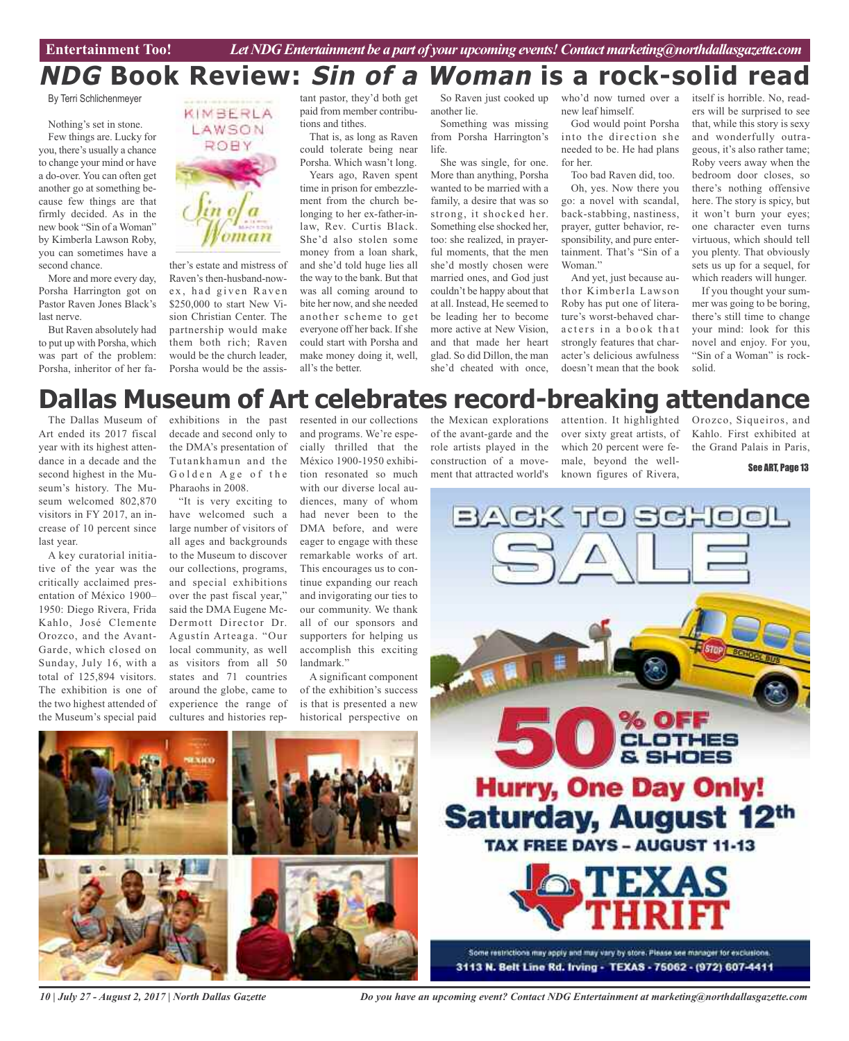### itself is horrible. No, read-**NDG Book Review: Sin of <sup>a</sup> Woman is a rock-solid read**

By Terri Schlichenmeyer

Nothing's set in stone. Few things are. Lucky for you, there's usually a chance to change your mind or have a do-over. You can often get another go at something because few things are that firmly decided. As in the new book "Sin of a Woman" by Kimberla Lawson Roby, you can sometimes have a second chance.

More and more every day, Porsha Harrington got on Pastor Raven Jones Black's last nerve.

But Raven absolutely had to put up with Porsha, which was part of the problem: Porsha, inheritor of her fa-



ther's estate and mistress of Raven's then-husband-nowex, had given Raven \$250,000 to start New Vision Christian Center. The partnership would make them both rich; Raven would be the church leader, Porsha would be the assistant pastor, they'd both get paid from member contributions and tithes.

That is, as long as Raven could tolerate being near Porsha. Which wasn't long.

Years ago, Raven spent time in prison for embezzlement from the church belonging to her ex-father-inlaw, Rev. Curtis Black. She'd also stolen some money from a loan shark, and she'd told huge lies all the way to the bank. But that was all coming around to bite her now, and she needed another scheme to get everyone off her back. If she could start with Porsha and make money doing it, well, all's the better.

So Raven just cooked up another lie.

Something was missing from Porsha Harrington's life.

She was single, for one. More than anything, Porsha wanted to be married with a family, a desire that was so strong, it shocked her. Something else shocked her, too: she realized, in prayerful moments, that the men she'd mostly chosen were married ones, and God just couldn't be happy about that at all. Instead, He seemed to be leading her to become more active at New Vision, and that made her heart glad. So did Dillon, the man she'd cheated with once,

who'd now turned over a new leaf himself.

God would point Porsha into the direction she needed to be. He had plans for her.

Too bad Raven did, too. Oh, yes. Now there you go: a novel with scandal, back-stabbing, nastiness, prayer, gutter behavior, responsibility, and pure entertainment. That's "Sin of a Woman<sup>"</sup>

And yet, just because author Kimberla Lawson Roby has put one of literature's worst-behaved characters in a book that strongly features that character's delicious awfulness doesn't mean that the book

ers will be surprised to see that, while this story is sexy and wonderfully outrageous, it's also rather tame; Roby veers away when the bedroom door closes, so there's nothing offensive here. The story is spicy, but it won't burn your eyes; one character even turns virtuous, which should tell you plenty. That obviously sets us up for a sequel, for which readers will hunger.

If you thought your summer was going to be boring, there's still time to change your mind: look for this novel and enjoy. For you, "Sin of a Woman" is rocksolid.

## **Dallas Museum of Art celebrates record-breaking attendance**

The Dallas Museum of Art ended its 2017 fiscal year with its highest attendance in a decade and the second highest in the Museum's history. The Museum welcomed 802,870 visitors in FY 2017, an increase of 10 percent since last year.

A key curatorial initiative of the year was the critically acclaimed presentation of México 1900– 1950: Diego Rivera, Frida Kahlo, José Clemente Orozco, and the Avant-Garde, which closed on Sunday, July 16, with a total of 125,894 visitors. The exhibition is one of the two highest attended of the Museum's special paid

exhibitions in the past resented in our collections decade and second only to the DMA's presentation of Tutankhamun and the Golden Age of the tion resonated so much Pharaohs in 2008.

"It is very exciting to have welcomed such a large number of visitors of all ages and backgrounds to the Museum to discover our collections, programs, and special exhibitions over the past fiscal year," said the DMA Eugene Mc-Dermott Director Dr. Agustín Arteaga. "Our local community, as well as visitors from all 50 states and 71 countries around the globe, came to experience the range of cultures and histories rep-

and programs. We're especially thrilled that the México 1900-1950 exhibiwith our diverse local audiences, many of whom had never been to the DMA before, and were eager to engage with these remarkable works of art. This encourages us to continue expanding our reach and invigorating our ties to our community. We thank all of our sponsors and supporters for helping us accomplish this exciting landmark."

A significant component of the exhibition's success is that is presented a new historical perspective on role artists played in the which 20 percent were feconstruction of a move-male, beyond the wellment that attracted world's known figures of Rivera,

the Mexican explorations attention. It highlighted Orozco, Siqueiros, and of the avant-garde and the over sixty great artists, of Kahlo. First exhibited at

the Grand Palais in Paris,

See ART, Page 13





*10 | July 27 - August 2, 2017 | North Dallas Gazette*

*Do you have an upcoming event? Contact NDG Entertainment at marketing@northdallasgazette.com*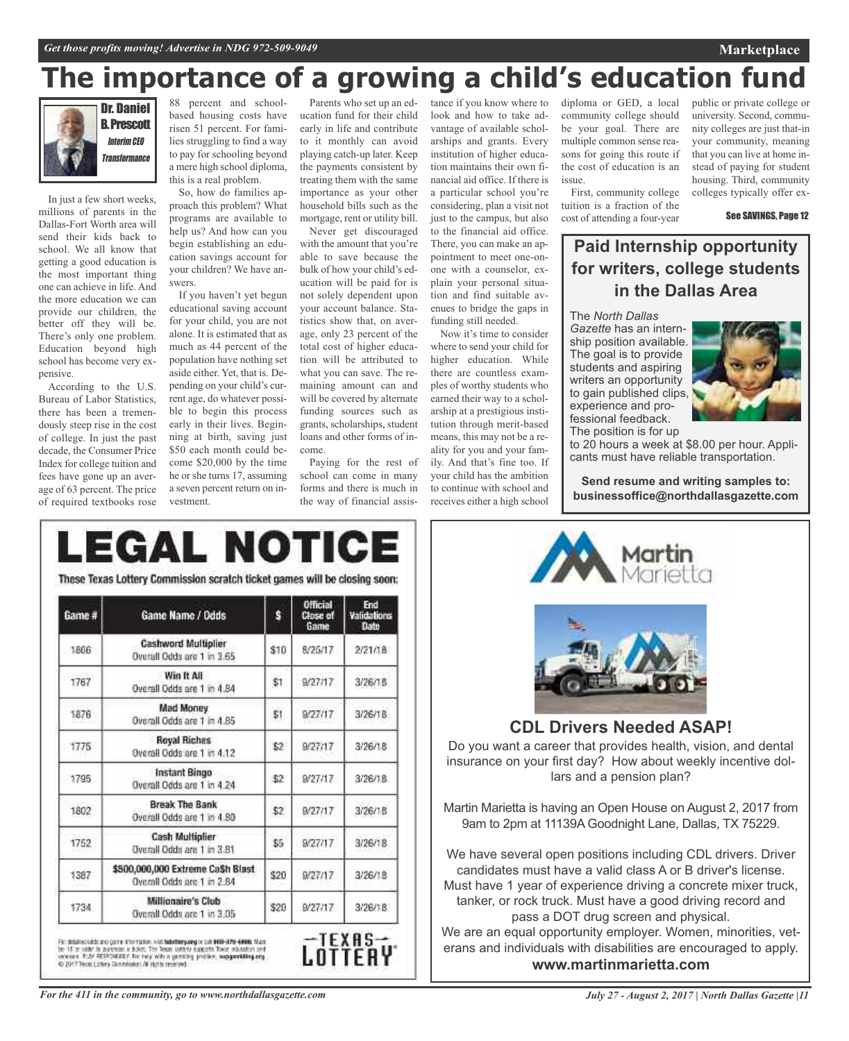## **The importance of a growing a child's education fund**



B.Prescott Interim CEO **Transformance** 

In just a few short weeks, millions of parents in the Dallas-Fort Worth area will send their kids back to school. We all know that getting a good education is the most important thing one can achieve in life. And the more education we can provide our children, the better off they will be. There's only one problem. Education beyond high school has become very expensive.

According to the U.S. Bureau of Labor Statistics, there has been a tremendously steep rise in the cost of college. In just the past decade, the Consumer Price Index for college tuition and fees have gone up an average of 63 percent. The price of required textbooks rose

88 percent and schoolbased housing costs have risen 51 percent. For families struggling to find a way to pay for schooling beyond a mere high school diploma, this is a real problem.

So, how do families approach this problem? What programs are available to help us? And how can you begin establishing an education savings account for your children? We have answers.

If you haven't yet begun educational saving account for your child, you are not alone. It is estimated that as much as 44 percent of the population have nothing set aside either. Yet, that is. Depending on your child's current age, do whatever possible to begin this process early in their lives. Beginning at birth, saving just \$50 each month could become \$20,000 by the time he or she turns 17, assuming a seven percent return on investment.

Parents who set up an education fund for their child early in life and contribute to it monthly can avoid playing catch-up later. Keep the payments consistent by treating them with the same importance as your other household bills such as the mortgage, rent or utility bill.

Never get discouraged with the amount that you're able to save because the bulk of how your child's education will be paid for is not solely dependent upon your account balance. Statistics show that, on average, only 23 percent of the total cost of higher education will be attributed to what you can save. The remaining amount can and will be covered by alternate funding sources such as grants, scholarships, student loans and other forms of income.

Paying for the rest of school can come in many forms and there is much in the way of financial assis-

tance if you know where to look and how to take advantage of available scholarships and grants. Every institution of higher education maintains their own financial aid office. If there is a particular school you're considering, plan a visit not just to the campus, but also to the financial aid office. There, you can make an appointment to meet one-onone with a counselor, explain your personal situation and find suitable avenues to bridge the gaps in funding still needed.

Now it's time to consider where to send your child for higher education. While there are countless examples of worthy students who earned their way to a scholarship at a prestigious institution through merit-based means, this may not be a reality for you and your family. And that's fine too. If your child has the ambition to continue with school and receives either a high school

diploma or GED, a local community college should be your goal. There are multiple common sense reasons for going this route if the cost of education is an issue.

First, community college tuition is a fraction of the cost of attending a four-year

public or private college or university. Second, community colleges are just that-in your community, meaning that you can live at home instead of paying for student housing. Third, community colleges typically offer ex-

**Marketplace**

See SAVINGS, Page 12

### **Paid Internship opportunity for writers, college students in the Dallas Area**

The *North Dallas*

*Gazette* has an internship position available. The goal is to provide students and aspiring writers an opportunity to gain published clips, experience and professional feedback. The position is for up



cants must have reliable transportation.

to 20 hours a week at \$8.00 per hour. Appli-

**Send resume and writing samples to: businessoffice@northdallasgazette.com**

| Game # | Game Name / Odds                                               | s    | Official<br>Close of<br>Game | End<br>Validations<br>Date |
|--------|----------------------------------------------------------------|------|------------------------------|----------------------------|
| 1866   | <b>Cashword Multiplier</b><br>Overall Odds are 1 in 3.65       | \$10 | 8/25/17                      | 2/21/18                    |
| 1767   | Win It All<br>Overall Odds are 1 in 4.84                       | \$1  | 9/27/17                      | 3/26/18                    |
| 1876   | Mad Money<br>Overall Odds are 1 in 4.85                        | \$1  | 9/27/17                      | 3/26/18                    |
| 1775   | <b>Royal Riches</b><br>Overall Odds are 1 in 4.12              | \$2  | 9/27/17                      | 3/26/18                    |
| 1795   | <b>Instant Bingo</b><br>Overall Odds are 1 in 4.24             | \$2  | 9/27/17                      | 3/26/18                    |
| 1802   | <b>Break The Bank</b><br>Overall Odds are 1 in 4.80            | \$2  | 9/27/17                      | 3/26/18                    |
| 1752   | <b>Cash Multiplier</b><br>Overall Odds are 1 in 3.81           | \$5  | 9/27/17                      | 3/26/18                    |
| 1387   | \$500,000,000 Extreme CaSh Blast<br>Overall Odds are 1 in 2:84 | \$20 | 9/27/17                      | 3/26/18                    |
| 1734   | <b>Millionaire's Club</b><br>Overall Odds are 1 in 3.05        | \$20 | 9/27/17                      | 3/26/18                    |

*For the 411 in the community, go to www.northdallasgazette.com*





**CDL Drivers Needed ASAP!**

Do you want a career that provides health, vision, and dental insurance on your first day? How about weekly incentive dollars and a pension plan?

Martin Marietta is having an Open House on August 2, 2017 from 9am to 2pm at 11139A Goodnight Lane, Dallas, TX 75229.

We have several open positions including CDL drivers. Driver candidates must have a valid class A or B driver's license. Must have 1 year of experience driving a concrete mixer truck, tanker, or rock truck. Must have a good driving record and pass a DOT drug screen and physical. We are an equal opportunity employer. Women, minorities, veterans and individuals with disabilities are encouraged to apply.

**www.martinmarietta.com**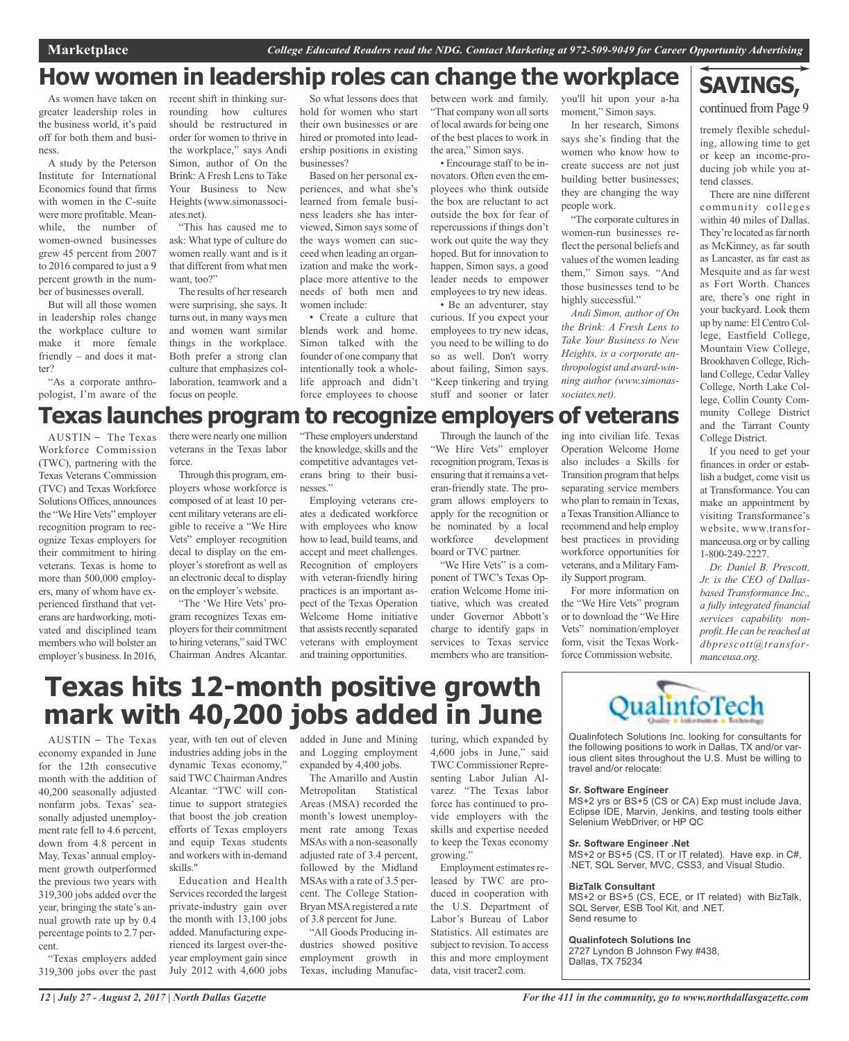## **How women in leadership roles can change the workplace**

As women have taken on greater leadership roles in the business world, it's paid off for both them and business.

A study by the Peterson Institute for International Economics found that firms with women in the C-suite were more profitable. Meanwhile, the number of women-owned businesses grew 45 percent from 2007 to 2016 compared to just a 9 percent growth in the number of businesses overall.

But will all those women in leadership roles change the workplace culture to make it more female friendly – and does it matter?

"As a corporate anthropologist, I'm aware of the recent shift in thinking surrounding how cultures should be restructured in order for women to thrive in the workplace," says Andi Simon, author of On the Brink: A Fresh Lens to Take Your Business to New Heights(www.simonassociates.net).

"This has caused me to ask: What type of culture do women really want and is it that different from what men want, too?"

The results of her research were surprising, she says. It turns out, in many ways men and women want similar things in the workplace. Both prefer a strong clan culture that emphasizes collaboration, teamwork and a focus on people.

So what lessons does that hold for women who start their own businesses or are hired or promoted into leadership positions in existing businesses?

Based on her personal experiences, and what she's learned from female business leaders she has interviewed, Simon says some of the ways women can succeed when leading an organization and make the workplace more attentive to the needs of both men and women include:

• Create a culture that blends work and home. Simon talked with the founder of one company that intentionally took a wholelife approach and didn't force employees to choose between work and family. "That company won all sorts of local awards for being one of the best places to work in the area," Simon says.

• Encourage staff to be innovators. Often even the employees who think outside the box are reluctant to act outside the box for fear of repercussions if things don't work out quite the way they hoped. But for innovation to happen, Simon says, a good leader needs to empower employees to try new ideas.

• Be an adventurer, stay curious. If you expect your employees to try new ideas, you need to be willing to do so as well. Don't worry about failing, Simon says. "Keep tinkering and trying stuff and sooner or later

you'll hit upon your a-ha moment," Simon says.

In her research, Simons says she's finding that the women who know how to create success are not just building better businesses; they are changing the way people work.

"The corporate cultures in women-run businesses reflect the personal beliefs and values of the women leading them," Simon says. "And those businesses tend to be highly successful."

*Andi Simon, author of On the Brink: A Fresh Lens to Take Your Business to New Heights, is a corporate anthropologist and award-winning author (www.simonassociates.net).*

ing into civilian life. Texas Operation Welcome Home also includes a Skills for Transition program that helps separating service members who plan to remain in Texas, aTexasTransitionAlliance to recommend and help employ best practices in providing workforce opportunities for veterans, and a Military Family Support program.

For more information on the "We Hire Vets" program or to download the "We Hire Vets" nomination/employer form, visit the Texas Workforce Commission website.

### **SAVINGS,**

continued from Page 9

tremely flexible scheduling, allowing time to get or keep an income-producing job while you attend classes.

There are nine different community colleges within 40 miles of Dallas. They're located as far north as McKinney, as far south as Lancaster, as far east as Mesquite and as far west as Fort Worth. Chances are, there's one right in your backyard. Look them up by name: El Centro College, Eastfield College, Mountain View College, Brookhaven College, Richland College, Cedar Valley College, North Lake College, Collin County Community College District and the Tarrant County College District.

If you need to get your finances in order or establish a budget, come visit us at Transformance. You can make an appointment by visiting Transformance's website, www.transformanceusa.org or by calling 1-800-249-2227.

*Dr. Daniel B. Prescott, Jr. is the CEO of Dallasbased Transformance Inc., a fully integrated financial services capability nonprofit. He can be reached at dbprescott@transformanceusa.org.*

### **Texas launches program to recognize employers of veterans**

AUSTIN - The Texas Workforce Commission (TWC), partnering with the Texas Veterans Commission (TVC) and Texas Workforce Solutions Offices, announces the "We Hire Vets" employer recognition program to recognize Texas employers for their commitment to hiring veterans. Texas is home to more than 500,000 employers, many of whom have experienced firsthand that veterans are hardworking, motivated and disciplined team members who will bolster an employer's business.In 2016,

there were nearly one million veterans in the Texas labor force.

Through this program, employers whose workforce is composed of at least 10 percent military veterans are eligible to receive a "We Hire Vets" employer recognition decal to display on the employer's storefront as well as an electronic decal to display on the employer's website.

"The 'We Hire Vets' program recognizes Texas employers for their commitment to hiring veterans," saidTWC Chairman Andres Alcantar. "These employers understand the knowledge, skills and the competitive advantages veterans bring to their businesses."

Employing veterans creates a dedicated workforce with employees who know how to lead, build teams, and accept and meet challenges. Recognition of employers with veteran-friendly hiring practices is an important aspect of the Texas Operation Welcome Home initiative that assists recently separated veterans with employment and training opportunities.

Through the launch of the "We Hire Vets" employer recognition program, Texas is ensuring that it remains a veteran-friendly state. The program allows employers to apply for the recognition or be nominated by a local workforce development board or TVC partner.

"We Hire Vets" is a component of TWC's Texas Operation Welcome Home initiative, which was created under Governor Abbott's charge to identify gaps in services to Texas service members who are transition-

## **Texas hits 12-month positive growth mark with 40,200 jobs added in June**

 $AUSTIN$  – The Texas economy expanded in June for the 12th consecutive month with the addition of 40,200 seasonally adjusted nonfarm jobs. Texas' seasonally adjusted unemployment rate fell to 4.6 percent, down from 4.8 percent in May. Texas' annual employment growth outperformed the previous two years with 319,300 jobs added over the year, bringing the state's annual growth rate up by 0.4 percentage points to 2.7 percent.

"Texas employers added 319,300 jobs over the past year, with ten out of eleven industries adding jobs in the dynamic Texas economy," said TWC Chairman Andres Alcantar. "TWC will continue to support strategies that boost the job creation efforts of Texas employers and equip Texas students and workers with in-demand skills."

Education and Health Services recorded the largest private-industry gain over the month with 13,100 jobs added. Manufacturing experienced its largest over-theyear employment gain since July 2012 with 4,600 jobs

added in June and Mining and Logging employment expanded by 4,400 jobs.

The Amarillo and Austin Metropolitan Statistical Areas (MSA) recorded the month's lowest unemployment rate among Texas MSAs with a non-seasonally adjusted rate of 3.4 percent, followed by the Midland MSAs with a rate of 3.5 percent. The College Station-Bryan MSAregistered a rate of 3.8 percent for June.

"All Goods Producing industries showed positive employment growth in Texas, including Manufacturing, which expanded by 4,600 jobs in June," said TWC Commissioner Representing Labor Julian Alvarez. "The Texas labor force has continued to provide employers with the skills and expertise needed to keep the Texas economy growing."

Employment estimates released by TWC are produced in cooperation with the U.S. Department of Labor's Bureau of Labor Statistics. All estimates are subject to revision. To access this and more employment data, visit tracer2.com.



Qualinfotech Solutions Inc. looking for consultants for the following positions to work in Dallas, TX and/or various client sites throughout the U.S. Must be willing to travel and/or relocate:

#### **Sr. Software Engineer**

MS+2 yrs or BS+5 (CS or CA) Exp must include Java, Eclipse IDE, Marvin, Jenkins, and testing tools either Selenium WebDriver, or HP QC

#### **Sr. Software Engineer .Net**

MS+2 or BS+5 (CS, IT or IT related). Have exp. in C#, .NET, SQL Server, MVC, CSS3, and Visual Studio.

#### **BizTalk Consultant**

MS+2 or BS+5 (CS, ECE, or IT related) with BizTalk, SQL Server, ESB Tool Kit, and .NET. Send resume to

#### **Qualinfotech Solutions Inc**

2727 Lyndon B Johnson Fwy #438,

Dallas, TX 75234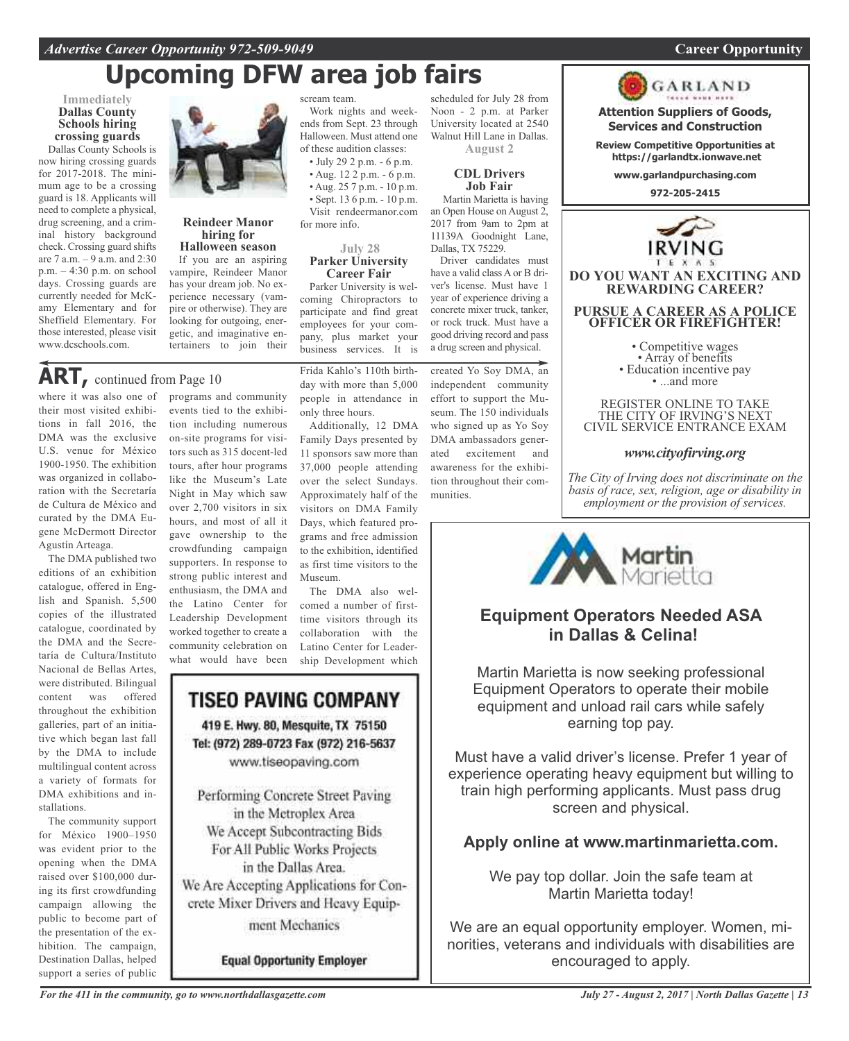## **Upcoming DFW area job fairs**

**Immediately Dallas County Schools hiring crossing guards**

Dallas County Schools is now hiring crossing guards for 2017-2018. The minimum age to be a crossing guard is 18. Applicants will need to complete a physical, drug screening, and a criminal history background check. Crossing guard shifts are 7 a.m. – 9 a.m. and 2:30 p.m. – 4:30 p.m. on school days. Crossing guards are currently needed for McKamy Elementary and for Sheffield Elementary. For those interested, please visit www.dcschools.com.



#### **Reindeer Manor hiring for Halloween season**

If you are an aspiring vampire, Reindeer Manor has your dream job. No experience necessary (vampire or otherwise). They are looking for outgoing, energetic, and imaginative entertainers to join their

## **ART,** continued from Page <sup>10</sup>

where it was also one of their most visited exhibitions in fall 2016, the DMA was the exclusive U.S. venue for México 1900-1950. The exhibition was organized in collaboration with the Secretaría de Cultura de México and curated by the DMA Eugene McDermott Director Agustín Arteaga.

The DMA published two editions of an exhibition catalogue, offered in English and Spanish. 5,500 copies of the illustrated catalogue, coordinated by the DMA and the Secretaría de Cultura/Instituto Nacional de Bellas Artes, were distributed. Bilingual content was offered throughout the exhibition galleries, part of an initiative which began last fall by the DMA to include multilingual content across a variety of formats for DMA exhibitions and installations.

The community support for México 1900–1950 was evident prior to the opening when the DMA raised over \$100,000 during its first crowdfunding campaign allowing the public to become part of the presentation of the exhibition. The campaign, Destination Dallas, helped support a series of public

programs and community events tied to the exhibition including numerous on-site programs for visitors such as 315 docent-led tours, after hour programs like the Museum's Late Night in May which saw over 2,700 visitors in six hours, and most of all it gave ownership to the crowdfunding campaign supporters. In response to strong public interest and enthusiasm, the DMA and the Latino Center for Leadership Development worked together to create a community celebration on what would have been

scream team

Work nights and weekends from Sept. 23 through Halloween. Must attend one of these audition classes:

• July 29 2 p.m. - 6 p.m. • Aug. 12 2 p.m. - 6 p.m. • Aug. 25 7 p.m. - 10 p.m. • Sept. 13 6 p.m. - 10 p.m. Visit rendeermanor.com for more info.

### **July 28 Parker University Career Fair**

Parker University is welcoming Chiropractors to participate and find great employees for your company, plus market your business services. It is

Frida Kahlo's 110th birthday with more than 5,000 people in attendance in only three hours.

Additionally, 12 DMA Family Days presented by 11 sponsors saw more than 37,000 people attending over the select Sundays. Approximately half of the visitors on DMA Family Days, which featured programs and free admission to the exhibition, identified as first time visitors to the Museum.

The DMA also welcomed a number of firsttime visitors through its collaboration with the Latino Center for Leadership Development which

### **TISEO PAVING COMPANY** 419 E. Hwy. 80, Mesquite, TX 75150 Tel: (972) 289-0723 Fax (972) 216-5637 www.tiseopaving.com

Performing Concrete Street Paving in the Metroplex Area We Accept Subcontracting Bids For All Public Works Projects in the Dallas Area. We Are Accepting Applications for Concrete Mixer Drivers and Heavy Equipment Mechanics

**Equal Opportunity Employer** 

scheduled for July 28 from Noon - 2 p.m. at Parker University located at 2540 Walnut Hill Lane in Dallas. **August 2**

### **CDL Drivers Job Fair**

Martin Marietta is having an Open House on August 2, 2017 from 9am to 2pm at 11139A Goodnight Lane, Dallas, TX 75229.

Driver candidates must have a valid class A or B driver's license. Must have 1 year of experience driving a concrete mixer truck, tanker, or rock truck. Must have a good driving record and pass a drug screen and physical.

created Yo Soy DMA, an independent community effort to support the Museum. The 150 individuals who signed up as Yo Soy DMA ambassadors generated excitement and awareness for the exhibition throughout their communities.



**Attention Suppliers of Goods, Services and Construction**

**Review Competitive Opportunities at https://garlandtx.ionwave.net**

**www.garlandpurchasing.com**

**972-205-2415**



**DO YOU WANT AN EXCITING AND REWARDING CAREER?**

**PURSUE A CAREER AS A POLICE OFFICER OR FIREFIGHTER!**

• Competitive wages<br>• Array of benefits<br>• Education incentive pay<br>• ...and more

REGISTER ONLINE TO TAKE THE CITY OF IRVING'S NEXT CIVIL SERVICE ENTRANCE EXAM

### *www.cityofirving.org*

*The City of Irving does not discriminate on the basis of race, sex, religion, age or disability in employment or the provision of services.*



### **Equipment Operators Needed ASA in Dallas & Celina!**

Martin Marietta is now seeking professional Equipment Operators to operate their mobile equipment and unload rail cars while safely earning top pay.

Must have a valid driver's license. Prefer 1 year of experience operating heavy equipment but willing to train high performing applicants. Must pass drug screen and physical.

### **Apply online at www.martinmarietta.com.**

We pay top dollar. Join the safe team at Martin Marietta today!

We are an equal opportunity employer. Women, minorities, veterans and individuals with disabilities are encouraged to apply.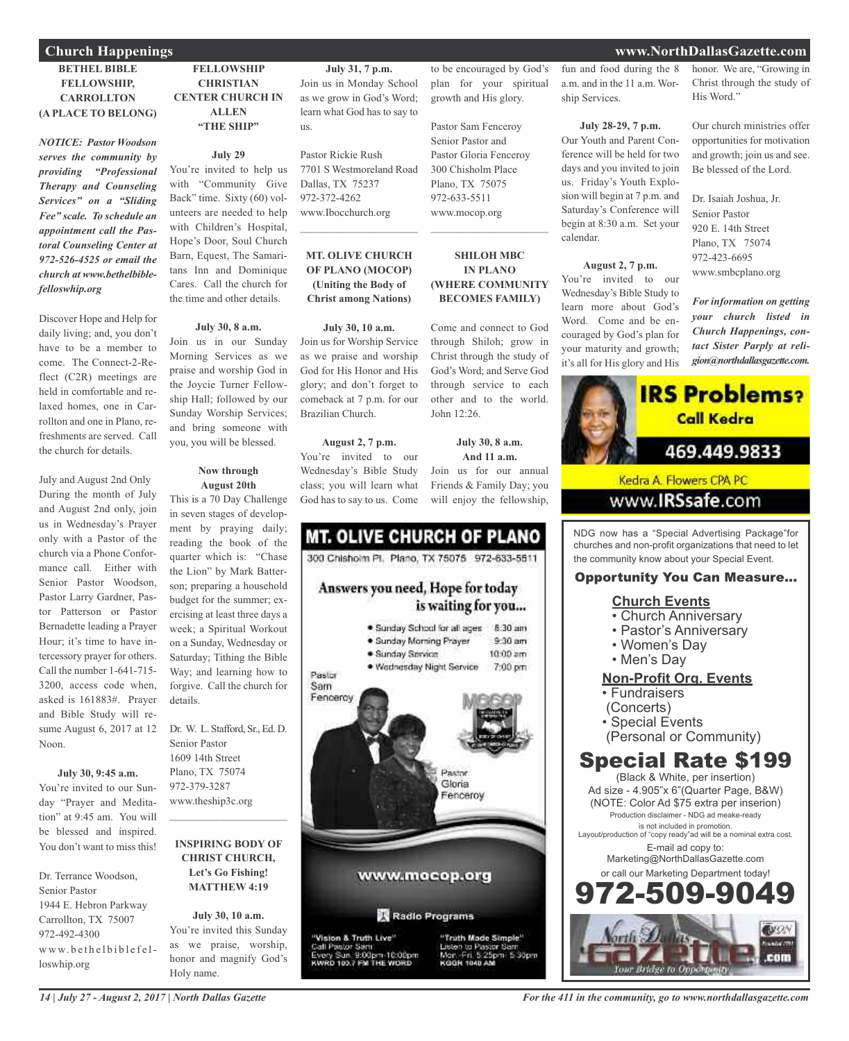### **BETHEL BIBLE FELLOWSHIP, CARROLLTON (A PLACE TO BELONG)**

*NOTICE: Pastor Woodson serves the community by providing "Professional Therapy and Counseling Services" on a "Sliding Fee" scale. To schedule an appointment call the Pastoral Counseling Center at 972-526-4525 or email the church at www.bethelbiblefelloswhip.org*

Discover Hope and Help for daily living; and, you don't have to be a member to come. The Connect-2-Reflect (C2R) meetings are held in comfortable and relaxed homes, one in Carrollton and one in Plano, refreshments are served. Call the church for details.

July and August 2nd Only During the month of July and August 2nd only, join us in Wednesday's Prayer only with a Pastor of the church via a Phone Conformance call Either with Senior Pastor Woodson, Pastor Larry Gardner, Pastor Patterson or Pastor Bernadette leading a Prayer Hour; it's time to have intercessory prayer for others. Call the number 1-641-715- 3200, access code when, asked is 161883#. Prayer and Bible Study will resume August 6, 2017 at 12 Noon.

### **July 30, 9:45 a.m.**

You're invited to our Sunday "Prayer and Meditation" at 9:45 am. You will be blessed and inspired. You don't want to miss this!

Dr. Terrance Woodson, Senior Pastor 1944 E. Hebron Parkway Carrollton, TX 75007 972-492-4300  $w w w$ . be the l b i b l e f e l loswhip.org

### **FELLOWSHIP CHRISTIAN CENTER CHURCH IN ALLEN "THE SHIP"**

**July 29**

You're invited to help us with "Community Give Back" time. Sixty (60) volunteers are needed to help with Children's Hospital, Hope's Door, Soul Church Barn, Equest, The Samaritans Inn and Dominique Cares. Call the church for the time and other details.

#### **July 30, 8 a.m.**

Join us in our Sunday Morning Services as we praise and worship God in the Joycie Turner Fellowship Hall; followed by our Sunday Worship Services; and bring someone with you, you will be blessed.

#### **Now through August 20th**

This is a 70 Day Challenge in seven stages of development by praying daily; reading the book of the quarter which is: "Chase the Lion" by Mark Batterson; preparing a household budget for the summer; exercising at least three days a week; a Spiritual Workout on a Sunday, Wednesday or Saturday; Tithing the Bible Way; and learning how to forgive. Call the church for details.

Dr. W. L. Stafford, Sr., Ed. D. Senior Pastor 1609 14th Street Plano, TX 75074 972-379-3287 www.theship3c.org  $\mathcal{L}_\text{max}$  , which is a set of the set of the set of the set of the set of the set of the set of the set of the set of the set of the set of the set of the set of the set of the set of the set of the set of the set of

### **INSPIRING BODY OF CHRIST CHURCH, Let's Go Fishing! MATTHEW 4:19**

**July 30, 10 a.m.** You're invited this Sunday as we praise, worship, honor and magnify God's Holy name.

**July 31, 7 p.m.** Join us in Monday School as we grow in God's Word; learn what God has to say to us.

Pastor Rickie Rush 7701 S Westmoreland Road Dallas, TX 75237 972-372-4262 www.Ibocchurch.org

### **MT. OLIVE CHURCH OF PLANO (MOCOP) (Uniting the Body of Christ among Nations)**

 $\overline{\phantom{a}}$  , and the set of the set of the set of the set of the set of the set of the set of the set of the set of the set of the set of the set of the set of the set of the set of the set of the set of the set of the s

**July 30, 10 a.m.** Join us for Worship Service as we praise and worship God for His Honor and His glory; and don't forget to comeback at 7 p.m. for our Brazilian Church.

### **August 2, 7 p.m.**

You're invited to our Wednesday's Bible Study class; you will learn what God has to say to us. Come



fun and food during the 8 a.m. and in the 11 a.m. Worship Services.

to be encouraged by God's plan for your spiritual growth and His glory.

 $\overline{\phantom{a}}$  , and the set of the set of the set of the set of the set of the set of the set of the set of the set of the set of the set of the set of the set of the set of the set of the set of the set of the set of the s

**SHILOH MBC IN PLANO (WHERE COMMUNITY BECOMES FAMILY)**

Come and connect to God through Shiloh; grow in Christ through the study of God's Word; and Serve God through service to each other and to the world.

**July 30, 8 a.m. And 11 a.m.** Join us for our annual Friends & Family Day; you will enjoy the fellowship,

John  $12:26$ .

Pastor Sam Fenceroy Senior Pastor and Pastor Gloria Fenceroy 300 Chisholm Place Plano, TX 75075 972-633-5511 www.mocop.org

### **July 28-29, 7 p.m.**

Our Youth and Parent Conference will be held for two days and you invited to join us. Friday's Youth Explosion will begin at 7 p.m. and Saturday's Conference will begin at 8:30 a.m. Set your calendar.

### **August 2, 7 p.m.**

You're invited to our Wednesday's Bible Study to learn more about God's Word. Come and be encouraged by God's plan for your maturity and growth; it's all for His glory and His honor. We are, "Growing in Christ through the study of His Word."

Our church ministries offer opportunities for motivation and growth; join us and see. Be blessed of the Lord.

Dr. Isaiah Joshua, Jr. Senior Pastor 920 E. 14th Street Plano, TX 75074 972-423-6695 www.smbcplano.org

*For information on getting your church listed in Church Happenings, contact Sister Parply at religion@northdallasgazette.com.*



NDG now has a "Special Advertising Package"for churches and non-profit organizations that need to let the community know about your Special Event.

### Opportunity You Can Measure...

### **Church Events**

- Church Anniversary
- Pastor's Anniversary
- Women's Day
- Men's Day

### **Non-Profit Org. Events**

- Fundraisers
- (Concerts)
- Special Events
- (Personal or Community)

### Special Rate \$199

(Black & White, per insertion) Ad size - 4.905"x 6"(Quarter Page, B&W) (NOTE: Color Ad \$75 extra per inserion) Production disclaimer - NDG ad meake-ready is not included in promotion. Layout/production of "copy ready"ad will be a nominal extra cost. E-mail ad copy to: Marketing@NorthDallasGazette.com or call our Marketing Department today! 509-9



### **Church Happenings www.NorthDallasGazette.com**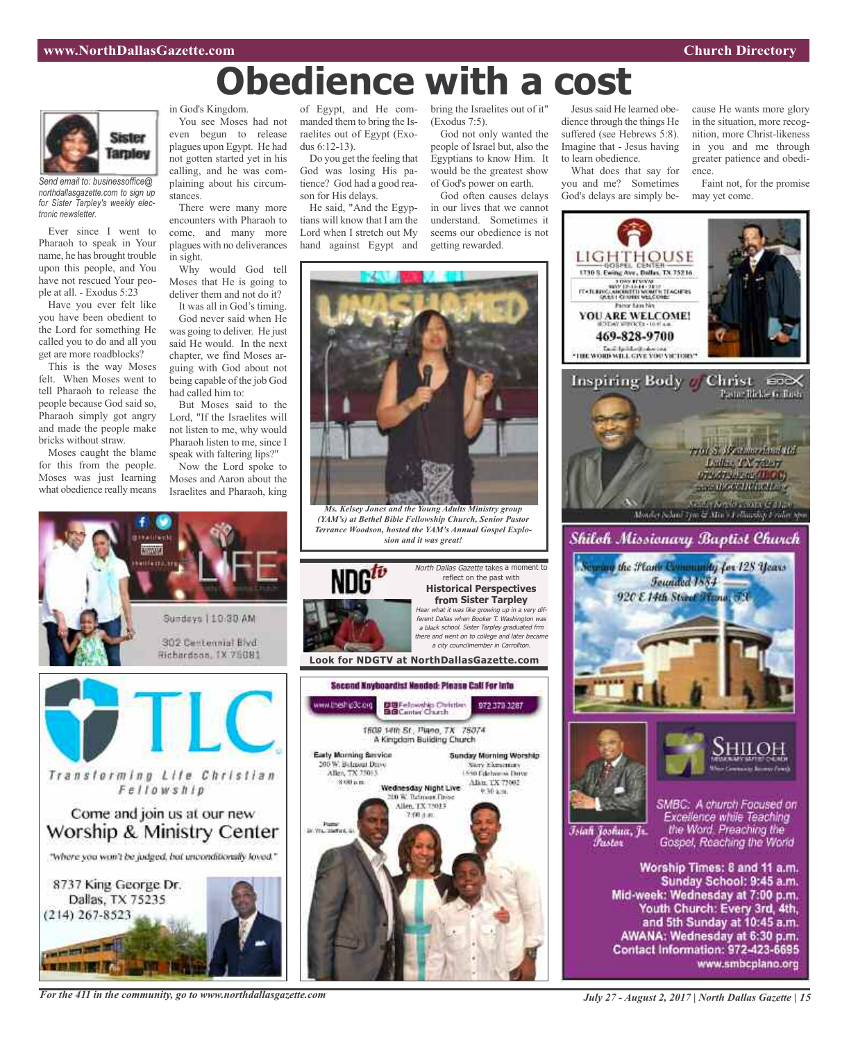## **Obedience with a cost**



*Send email to: businessoffice@ northdallasgazette.com to sign up for Sister Tarpley's weekly electronic newsletter.*

Ever since I went to Pharaoh to speak in Your name, he has brought trouble upon this people, and You have not rescued Your people at all. - Exodus 5:23

Have you ever felt like you have been obedient to the Lord for something He called you to do and all you get are more roadblocks?

This is the way Moses felt. When Moses went to tell Pharaoh to release the people because God said so, Pharaoh simply got angry and made the people make bricks without straw.

Moses caught the blame for this from the people. Moses was just learning what obedience really means

in God's Kingdom. You see Moses had not even begun to release plagues upon Egypt. He had not gotten started yet in his

calling, and he was complaining about his circumstances. There were many more

encounters with Pharaoh to come, and many more plagues with no deliverances in sight.

Why would God tell Moses that He is going to deliver them and not do it?

It was all in God's timing. God never said when He was going to deliver. He just said He would. In the next chapter, we find Moses arguing with God about not being capable of the job God had called him to:

But Moses said to the Lord, "If the Israelites will not listen to me, why would Pharaoh listen to me, since I speak with faltering lips?"

Now the Lord spoke to Moses and Aaron about the Israelites and Pharaoh, king

Sundays | 10:30 AM

302 Centennial Blvd Hichardson, IX 75081

of Egypt, and He commanded them to bring the Israelites out of Egypt (Exodus 6:12-13).

Do you get the feeling that God was losing His patience? God had a good reason for His delays.

He said, "And the Egyptians will know that I am the Lord when I stretch out My hand against Egypt and bring the Israelites out of it" (Exodus 7:5).

God not only wanted the people of Israel but, also the Egyptians to know Him. It would be the greatest show of God's power on earth.

God often causes delays in our lives that we cannot understand. Sometimes it seems our obedience is not getting rewarded.

Jesus said He learned obedience through the things He suffered (see Hebrews 5:8). Imagine that - Jesus having to learn obedience.

What does that say for you and me? Sometimes God's delays are simply because He wants more glory in the situation, more recognition, more Christ-likeness in you and me through greater patience and obedience.

Faint not, for the promise may yet come.





*Ms. Kelsey Jones and the Young Adults Ministry group (YAM's) at Bethel Bible Fellowship Church, Senior Pastor Terrance Woodson, hosted the YAM's Annual Gospel Explosion and it was great!*



reflect on the past with **Historical Perspectives from Sister Tarpley** Hear what it was like growing up in <sup>a</sup> very different Dallas when Booker T. Washington was <sup>a</sup> black school. Sister Tarpley graduated frm there and went on to college and later became <sup>a</sup> city councilmember in Carrollton.

**Look for NDGTV at NorthDallasGazette.com**



Transforming Life Christian

Fellowship

Come and join us at our new

Worship & Ministry Center

"where you won't be judged, but unconditionally loved."

8737 King George Dr.

Dallas, TX 75235

 $(214)$  267-8523

NAME AND DESCRIPTION OF

ra mini katika

*July 27 - August 2, 2017 | North Dallas Gazette | 15*